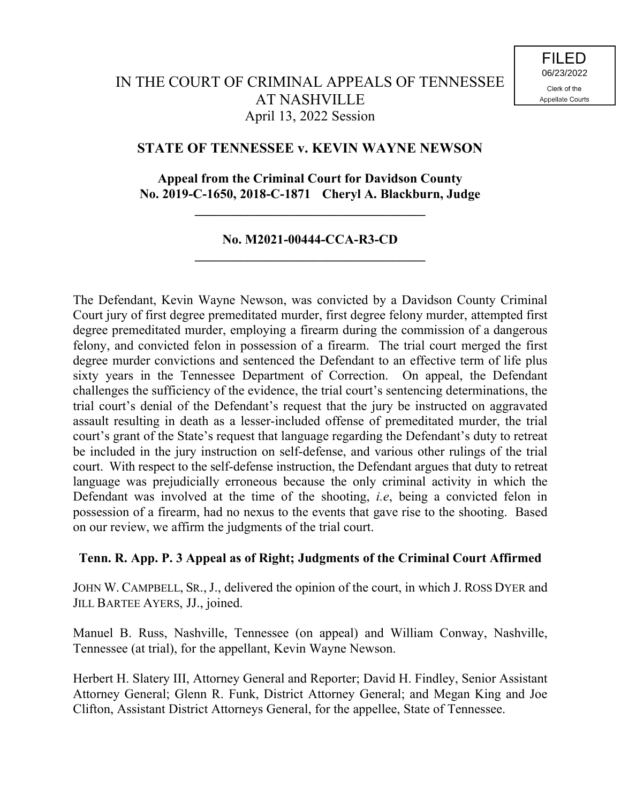# **STATE OF TENNESSEE v. KEVIN WAYNE NEWSON**

# **Appeal from the Criminal Court for Davidson County No. 2019-C-1650, 2018-C-1871 Cheryl A. Blackburn, Judge**

**\_\_\_\_\_\_\_\_\_\_\_\_\_\_\_\_\_\_\_\_\_\_\_\_\_\_\_\_\_\_\_\_\_\_\_**

# **No. M2021-00444-CCA-R3-CD \_\_\_\_\_\_\_\_\_\_\_\_\_\_\_\_\_\_\_\_\_\_\_\_\_\_\_\_\_\_\_\_\_\_\_**

The Defendant, Kevin Wayne Newson, was convicted by a Davidson County Criminal Court jury of first degree premeditated murder, first degree felony murder, attempted first degree premeditated murder, employing a firearm during the commission of a dangerous felony, and convicted felon in possession of a firearm. The trial court merged the first degree murder convictions and sentenced the Defendant to an effective term of life plus sixty years in the Tennessee Department of Correction. On appeal, the Defendant challenges the sufficiency of the evidence, the trial court's sentencing determinations, the trial court's denial of the Defendant's request that the jury be instructed on aggravated assault resulting in death as a lesser-included offense of premeditated murder, the trial court's grant of the State's request that language regarding the Defendant's duty to retreat be included in the jury instruction on self-defense, and various other rulings of the trial court. With respect to the self-defense instruction, the Defendant argues that duty to retreat language was prejudicially erroneous because the only criminal activity in which the Defendant was involved at the time of the shooting, *i.e*, being a convicted felon in possession of a firearm, had no nexus to the events that gave rise to the shooting. Based on our review, we affirm the judgments of the trial court.

# **Tenn. R. App. P. 3 Appeal as of Right; Judgments of the Criminal Court Affirmed**

JOHN W. CAMPBELL, SR., J., delivered the opinion of the court, in which J. ROSS DYER and JILL BARTEE AYERS, JJ., joined.

Manuel B. Russ, Nashville, Tennessee (on appeal) and William Conway, Nashville, Tennessee (at trial), for the appellant, Kevin Wayne Newson.

Herbert H. Slatery III, Attorney General and Reporter; David H. Findley, Senior Assistant Attorney General; Glenn R. Funk, District Attorney General; and Megan King and Joe Clifton, Assistant District Attorneys General, for the appellee, State of Tennessee.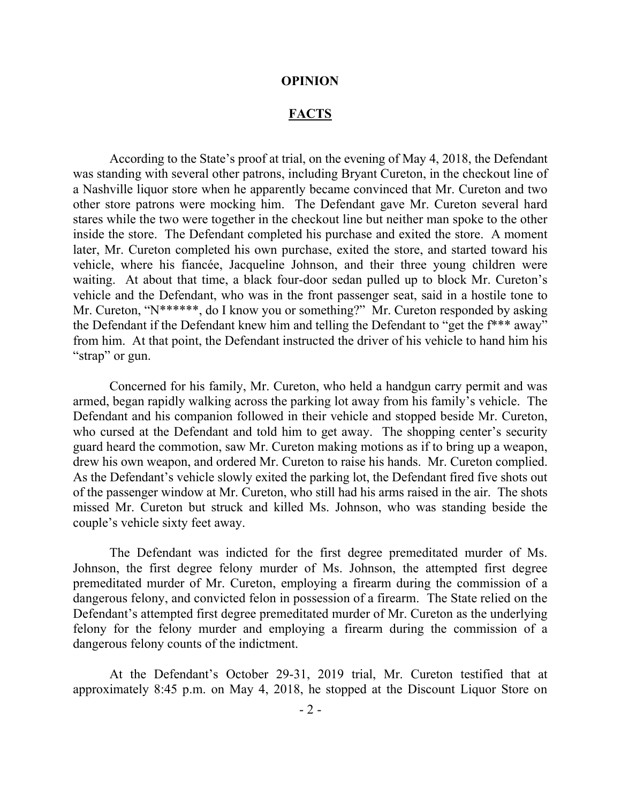#### **OPINION**

# **FACTS**

According to the State's proof at trial, on the evening of May 4, 2018, the Defendant was standing with several other patrons, including Bryant Cureton, in the checkout line of a Nashville liquor store when he apparently became convinced that Mr. Cureton and two other store patrons were mocking him. The Defendant gave Mr. Cureton several hard stares while the two were together in the checkout line but neither man spoke to the other inside the store. The Defendant completed his purchase and exited the store. A moment later, Mr. Cureton completed his own purchase, exited the store, and started toward his vehicle, where his fiancée, Jacqueline Johnson, and their three young children were waiting. At about that time, a black four-door sedan pulled up to block Mr. Cureton's vehicle and the Defendant, who was in the front passenger seat, said in a hostile tone to Mr. Cureton, "N\*\*\*\*\*\*, do I know you or something?" Mr. Cureton responded by asking the Defendant if the Defendant knew him and telling the Defendant to "get the f\*\*\* away" from him. At that point, the Defendant instructed the driver of his vehicle to hand him his "strap" or gun.

Concerned for his family, Mr. Cureton, who held a handgun carry permit and was armed, began rapidly walking across the parking lot away from his family's vehicle. The Defendant and his companion followed in their vehicle and stopped beside Mr. Cureton, who cursed at the Defendant and told him to get away. The shopping center's security guard heard the commotion, saw Mr. Cureton making motions as if to bring up a weapon, drew his own weapon, and ordered Mr. Cureton to raise his hands. Mr. Cureton complied. As the Defendant's vehicle slowly exited the parking lot, the Defendant fired five shots out of the passenger window at Mr. Cureton, who still had his arms raised in the air. The shots missed Mr. Cureton but struck and killed Ms. Johnson, who was standing beside the couple's vehicle sixty feet away.

The Defendant was indicted for the first degree premeditated murder of Ms. Johnson, the first degree felony murder of Ms. Johnson, the attempted first degree premeditated murder of Mr. Cureton, employing a firearm during the commission of a dangerous felony, and convicted felon in possession of a firearm. The State relied on the Defendant's attempted first degree premeditated murder of Mr. Cureton as the underlying felony for the felony murder and employing a firearm during the commission of a dangerous felony counts of the indictment.

At the Defendant's October 29-31, 2019 trial, Mr. Cureton testified that at approximately 8:45 p.m. on May 4, 2018, he stopped at the Discount Liquor Store on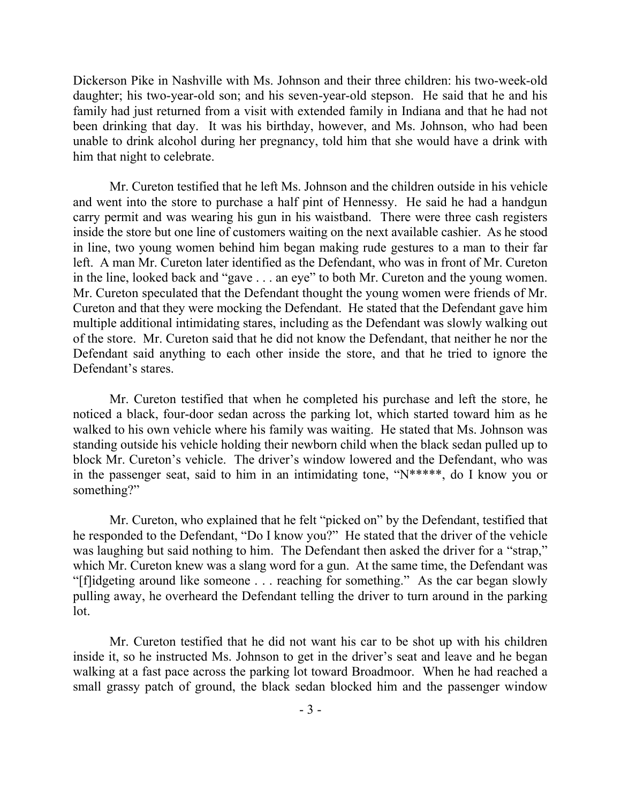Dickerson Pike in Nashville with Ms. Johnson and their three children: his two-week-old daughter; his two-year-old son; and his seven-year-old stepson. He said that he and his family had just returned from a visit with extended family in Indiana and that he had not been drinking that day. It was his birthday, however, and Ms. Johnson, who had been unable to drink alcohol during her pregnancy, told him that she would have a drink with him that night to celebrate.

Mr. Cureton testified that he left Ms. Johnson and the children outside in his vehicle and went into the store to purchase a half pint of Hennessy. He said he had a handgun carry permit and was wearing his gun in his waistband. There were three cash registers inside the store but one line of customers waiting on the next available cashier. As he stood in line, two young women behind him began making rude gestures to a man to their far left. A man Mr. Cureton later identified as the Defendant, who was in front of Mr. Cureton in the line, looked back and "gave . . . an eye" to both Mr. Cureton and the young women. Mr. Cureton speculated that the Defendant thought the young women were friends of Mr. Cureton and that they were mocking the Defendant. He stated that the Defendant gave him multiple additional intimidating stares, including as the Defendant was slowly walking out of the store. Mr. Cureton said that he did not know the Defendant, that neither he nor the Defendant said anything to each other inside the store, and that he tried to ignore the Defendant's stares.

Mr. Cureton testified that when he completed his purchase and left the store, he noticed a black, four-door sedan across the parking lot, which started toward him as he walked to his own vehicle where his family was waiting. He stated that Ms. Johnson was standing outside his vehicle holding their newborn child when the black sedan pulled up to block Mr. Cureton's vehicle. The driver's window lowered and the Defendant, who was in the passenger seat, said to him in an intimidating tone, "N\*\*\*\*\*, do I know you or something?"

Mr. Cureton, who explained that he felt "picked on" by the Defendant, testified that he responded to the Defendant, "Do I know you?" He stated that the driver of the vehicle was laughing but said nothing to him. The Defendant then asked the driver for a "strap," which Mr. Cureton knew was a slang word for a gun. At the same time, the Defendant was "[f]idgeting around like someone . . . reaching for something." As the car began slowly pulling away, he overheard the Defendant telling the driver to turn around in the parking lot.

Mr. Cureton testified that he did not want his car to be shot up with his children inside it, so he instructed Ms. Johnson to get in the driver's seat and leave and he began walking at a fast pace across the parking lot toward Broadmoor. When he had reached a small grassy patch of ground, the black sedan blocked him and the passenger window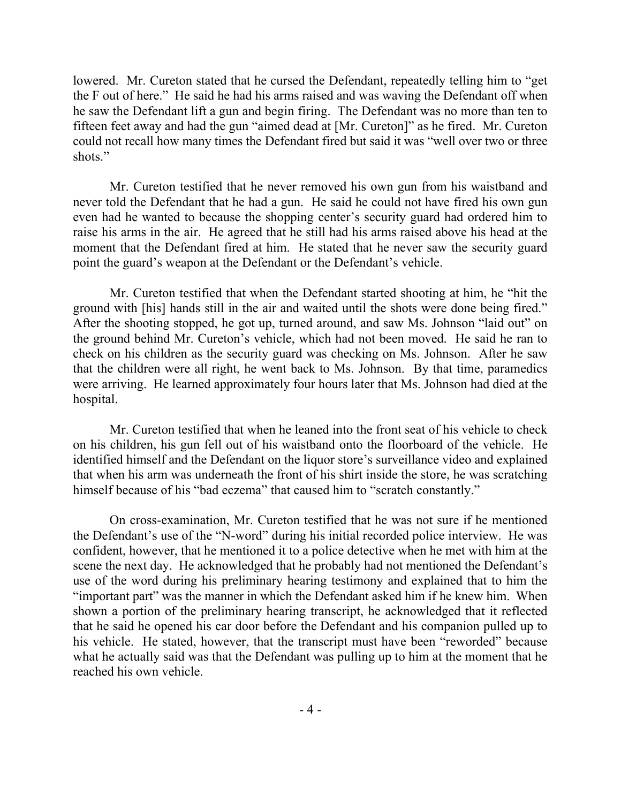lowered. Mr. Cureton stated that he cursed the Defendant, repeatedly telling him to "get the F out of here." He said he had his arms raised and was waving the Defendant off when he saw the Defendant lift a gun and begin firing. The Defendant was no more than ten to fifteen feet away and had the gun "aimed dead at [Mr. Cureton]" as he fired. Mr. Cureton could not recall how many times the Defendant fired but said it was "well over two or three shots."

Mr. Cureton testified that he never removed his own gun from his waistband and never told the Defendant that he had a gun. He said he could not have fired his own gun even had he wanted to because the shopping center's security guard had ordered him to raise his arms in the air. He agreed that he still had his arms raised above his head at the moment that the Defendant fired at him. He stated that he never saw the security guard point the guard's weapon at the Defendant or the Defendant's vehicle.

Mr. Cureton testified that when the Defendant started shooting at him, he "hit the ground with [his] hands still in the air and waited until the shots were done being fired." After the shooting stopped, he got up, turned around, and saw Ms. Johnson "laid out" on the ground behind Mr. Cureton's vehicle, which had not been moved. He said he ran to check on his children as the security guard was checking on Ms. Johnson. After he saw that the children were all right, he went back to Ms. Johnson. By that time, paramedics were arriving. He learned approximately four hours later that Ms. Johnson had died at the hospital.

Mr. Cureton testified that when he leaned into the front seat of his vehicle to check on his children, his gun fell out of his waistband onto the floorboard of the vehicle. He identified himself and the Defendant on the liquor store's surveillance video and explained that when his arm was underneath the front of his shirt inside the store, he was scratching himself because of his "bad eczema" that caused him to "scratch constantly."

On cross-examination, Mr. Cureton testified that he was not sure if he mentioned the Defendant's use of the "N-word" during his initial recorded police interview. He was confident, however, that he mentioned it to a police detective when he met with him at the scene the next day. He acknowledged that he probably had not mentioned the Defendant's use of the word during his preliminary hearing testimony and explained that to him the "important part" was the manner in which the Defendant asked him if he knew him. When shown a portion of the preliminary hearing transcript, he acknowledged that it reflected that he said he opened his car door before the Defendant and his companion pulled up to his vehicle. He stated, however, that the transcript must have been "reworded" because what he actually said was that the Defendant was pulling up to him at the moment that he reached his own vehicle.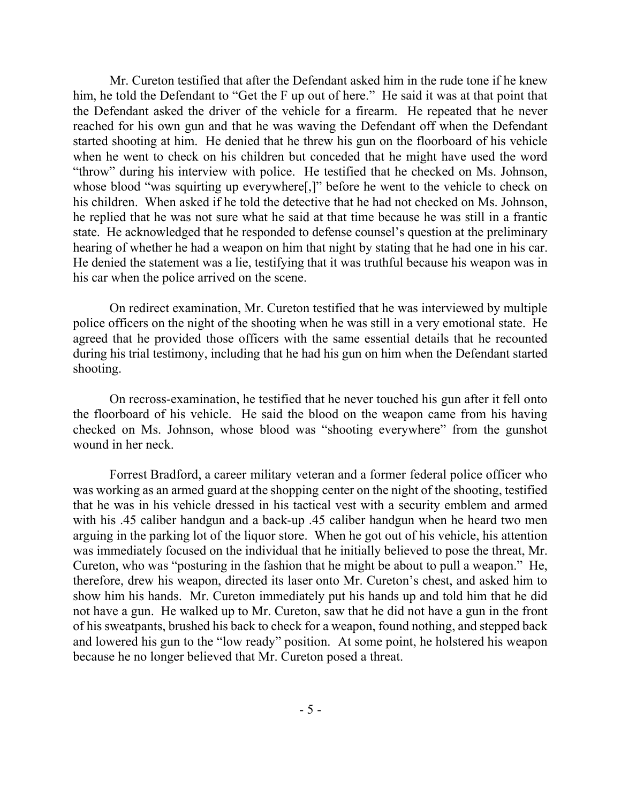Mr. Cureton testified that after the Defendant asked him in the rude tone if he knew him, he told the Defendant to "Get the F up out of here." He said it was at that point that the Defendant asked the driver of the vehicle for a firearm. He repeated that he never reached for his own gun and that he was waving the Defendant off when the Defendant started shooting at him. He denied that he threw his gun on the floorboard of his vehicle when he went to check on his children but conceded that he might have used the word "throw" during his interview with police. He testified that he checked on Ms. Johnson, whose blood "was squirting up everywhere[,]" before he went to the vehicle to check on his children. When asked if he told the detective that he had not checked on Ms. Johnson, he replied that he was not sure what he said at that time because he was still in a frantic state. He acknowledged that he responded to defense counsel's question at the preliminary hearing of whether he had a weapon on him that night by stating that he had one in his car. He denied the statement was a lie, testifying that it was truthful because his weapon was in his car when the police arrived on the scene.

On redirect examination, Mr. Cureton testified that he was interviewed by multiple police officers on the night of the shooting when he was still in a very emotional state. He agreed that he provided those officers with the same essential details that he recounted during his trial testimony, including that he had his gun on him when the Defendant started shooting.

On recross-examination, he testified that he never touched his gun after it fell onto the floorboard of his vehicle. He said the blood on the weapon came from his having checked on Ms. Johnson, whose blood was "shooting everywhere" from the gunshot wound in her neck.

Forrest Bradford, a career military veteran and a former federal police officer who was working as an armed guard at the shopping center on the night of the shooting, testified that he was in his vehicle dressed in his tactical vest with a security emblem and armed with his .45 caliber handgun and a back-up .45 caliber handgun when he heard two men arguing in the parking lot of the liquor store. When he got out of his vehicle, his attention was immediately focused on the individual that he initially believed to pose the threat, Mr. Cureton, who was "posturing in the fashion that he might be about to pull a weapon." He, therefore, drew his weapon, directed its laser onto Mr. Cureton's chest, and asked him to show him his hands. Mr. Cureton immediately put his hands up and told him that he did not have a gun. He walked up to Mr. Cureton, saw that he did not have a gun in the front of his sweatpants, brushed his back to check for a weapon, found nothing, and stepped back and lowered his gun to the "low ready" position. At some point, he holstered his weapon because he no longer believed that Mr. Cureton posed a threat.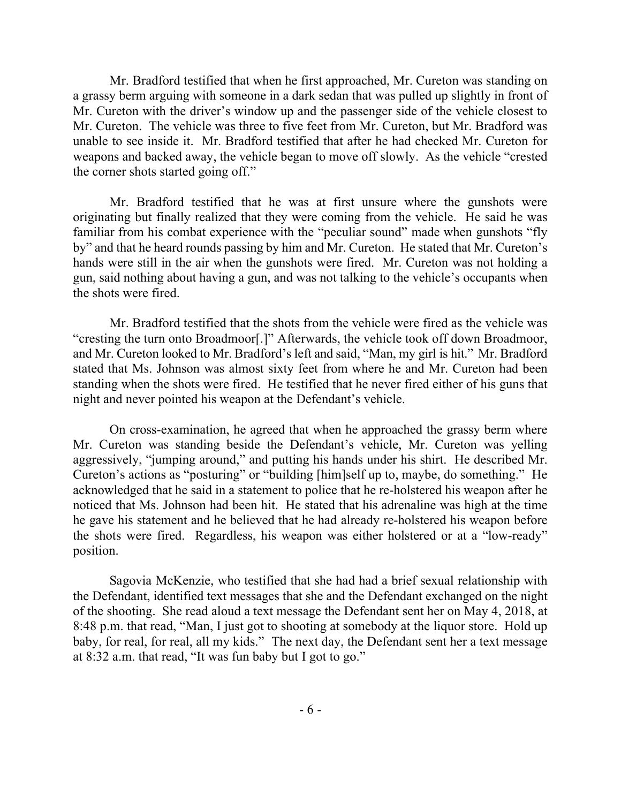Mr. Bradford testified that when he first approached, Mr. Cureton was standing on a grassy berm arguing with someone in a dark sedan that was pulled up slightly in front of Mr. Cureton with the driver's window up and the passenger side of the vehicle closest to Mr. Cureton. The vehicle was three to five feet from Mr. Cureton, but Mr. Bradford was unable to see inside it. Mr. Bradford testified that after he had checked Mr. Cureton for weapons and backed away, the vehicle began to move off slowly. As the vehicle "crested the corner shots started going off."

Mr. Bradford testified that he was at first unsure where the gunshots were originating but finally realized that they were coming from the vehicle. He said he was familiar from his combat experience with the "peculiar sound" made when gunshots "fly by" and that he heard rounds passing by him and Mr. Cureton. He stated that Mr. Cureton's hands were still in the air when the gunshots were fired. Mr. Cureton was not holding a gun, said nothing about having a gun, and was not talking to the vehicle's occupants when the shots were fired.

Mr. Bradford testified that the shots from the vehicle were fired as the vehicle was "cresting the turn onto Broadmoor[.]" Afterwards, the vehicle took off down Broadmoor, and Mr. Cureton looked to Mr. Bradford's left and said, "Man, my girl is hit." Mr. Bradford stated that Ms. Johnson was almost sixty feet from where he and Mr. Cureton had been standing when the shots were fired. He testified that he never fired either of his guns that night and never pointed his weapon at the Defendant's vehicle.

On cross-examination, he agreed that when he approached the grassy berm where Mr. Cureton was standing beside the Defendant's vehicle, Mr. Cureton was yelling aggressively, "jumping around," and putting his hands under his shirt. He described Mr. Cureton's actions as "posturing" or "building [him]self up to, maybe, do something." He acknowledged that he said in a statement to police that he re-holstered his weapon after he noticed that Ms. Johnson had been hit. He stated that his adrenaline was high at the time he gave his statement and he believed that he had already re-holstered his weapon before the shots were fired. Regardless, his weapon was either holstered or at a "low-ready" position.

Sagovia McKenzie, who testified that she had had a brief sexual relationship with the Defendant, identified text messages that she and the Defendant exchanged on the night of the shooting. She read aloud a text message the Defendant sent her on May 4, 2018, at 8:48 p.m. that read, "Man, I just got to shooting at somebody at the liquor store. Hold up baby, for real, for real, all my kids." The next day, the Defendant sent her a text message at 8:32 a.m. that read, "It was fun baby but I got to go."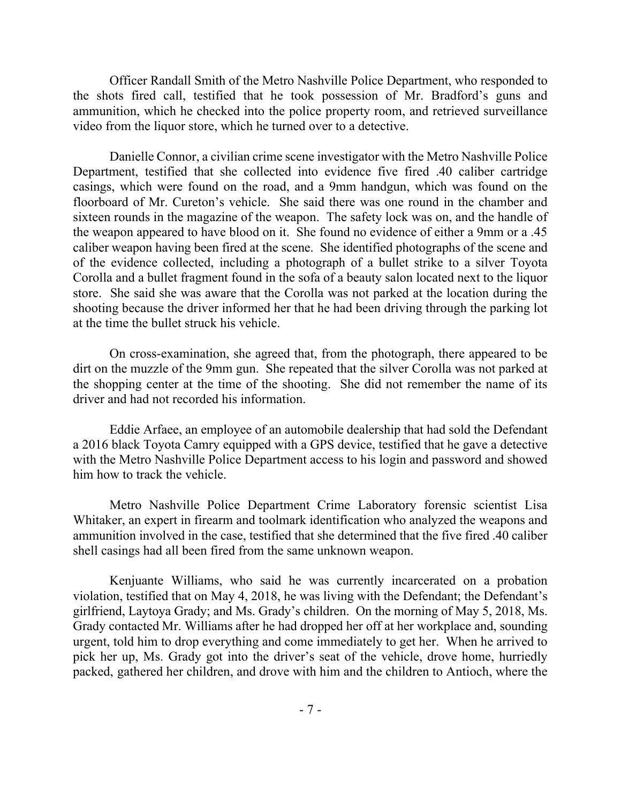Officer Randall Smith of the Metro Nashville Police Department, who responded to the shots fired call, testified that he took possession of Mr. Bradford's guns and ammunition, which he checked into the police property room, and retrieved surveillance video from the liquor store, which he turned over to a detective.

Danielle Connor, a civilian crime scene investigator with the Metro Nashville Police Department, testified that she collected into evidence five fired .40 caliber cartridge casings, which were found on the road, and a 9mm handgun, which was found on the floorboard of Mr. Cureton's vehicle. She said there was one round in the chamber and sixteen rounds in the magazine of the weapon. The safety lock was on, and the handle of the weapon appeared to have blood on it. She found no evidence of either a 9mm or a .45 caliber weapon having been fired at the scene. She identified photographs of the scene and of the evidence collected, including a photograph of a bullet strike to a silver Toyota Corolla and a bullet fragment found in the sofa of a beauty salon located next to the liquor store. She said she was aware that the Corolla was not parked at the location during the shooting because the driver informed her that he had been driving through the parking lot at the time the bullet struck his vehicle.

On cross-examination, she agreed that, from the photograph, there appeared to be dirt on the muzzle of the 9mm gun. She repeated that the silver Corolla was not parked at the shopping center at the time of the shooting. She did not remember the name of its driver and had not recorded his information.

Eddie Arfaee, an employee of an automobile dealership that had sold the Defendant a 2016 black Toyota Camry equipped with a GPS device, testified that he gave a detective with the Metro Nashville Police Department access to his login and password and showed him how to track the vehicle.

Metro Nashville Police Department Crime Laboratory forensic scientist Lisa Whitaker, an expert in firearm and toolmark identification who analyzed the weapons and ammunition involved in the case, testified that she determined that the five fired .40 caliber shell casings had all been fired from the same unknown weapon.

Kenjuante Williams, who said he was currently incarcerated on a probation violation, testified that on May 4, 2018, he was living with the Defendant; the Defendant's girlfriend, Laytoya Grady; and Ms. Grady's children. On the morning of May 5, 2018, Ms. Grady contacted Mr. Williams after he had dropped her off at her workplace and, sounding urgent, told him to drop everything and come immediately to get her. When he arrived to pick her up, Ms. Grady got into the driver's seat of the vehicle, drove home, hurriedly packed, gathered her children, and drove with him and the children to Antioch, where the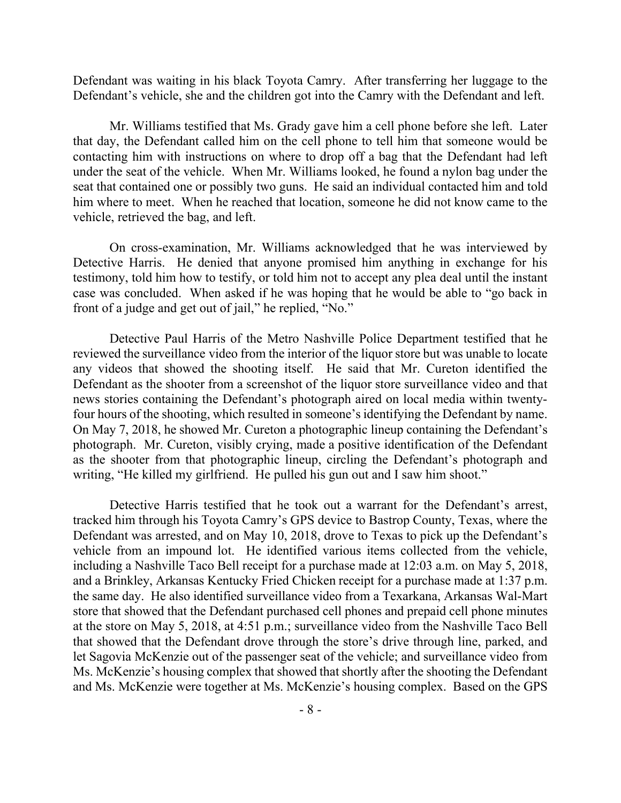Defendant was waiting in his black Toyota Camry. After transferring her luggage to the Defendant's vehicle, she and the children got into the Camry with the Defendant and left.

Mr. Williams testified that Ms. Grady gave him a cell phone before she left. Later that day, the Defendant called him on the cell phone to tell him that someone would be contacting him with instructions on where to drop off a bag that the Defendant had left under the seat of the vehicle. When Mr. Williams looked, he found a nylon bag under the seat that contained one or possibly two guns. He said an individual contacted him and told him where to meet. When he reached that location, someone he did not know came to the vehicle, retrieved the bag, and left.

On cross-examination, Mr. Williams acknowledged that he was interviewed by Detective Harris. He denied that anyone promised him anything in exchange for his testimony, told him how to testify, or told him not to accept any plea deal until the instant case was concluded. When asked if he was hoping that he would be able to "go back in front of a judge and get out of jail," he replied, "No."

Detective Paul Harris of the Metro Nashville Police Department testified that he reviewed the surveillance video from the interior of the liquor store but was unable to locate any videos that showed the shooting itself. He said that Mr. Cureton identified the Defendant as the shooter from a screenshot of the liquor store surveillance video and that news stories containing the Defendant's photograph aired on local media within twentyfour hours of the shooting, which resulted in someone's identifying the Defendant by name. On May 7, 2018, he showed Mr. Cureton a photographic lineup containing the Defendant's photograph. Mr. Cureton, visibly crying, made a positive identification of the Defendant as the shooter from that photographic lineup, circling the Defendant's photograph and writing, "He killed my girlfriend. He pulled his gun out and I saw him shoot."

Detective Harris testified that he took out a warrant for the Defendant's arrest, tracked him through his Toyota Camry's GPS device to Bastrop County, Texas, where the Defendant was arrested, and on May 10, 2018, drove to Texas to pick up the Defendant's vehicle from an impound lot. He identified various items collected from the vehicle, including a Nashville Taco Bell receipt for a purchase made at 12:03 a.m. on May 5, 2018, and a Brinkley, Arkansas Kentucky Fried Chicken receipt for a purchase made at 1:37 p.m. the same day. He also identified surveillance video from a Texarkana, Arkansas Wal-Mart store that showed that the Defendant purchased cell phones and prepaid cell phone minutes at the store on May 5, 2018, at 4:51 p.m.; surveillance video from the Nashville Taco Bell that showed that the Defendant drove through the store's drive through line, parked, and let Sagovia McKenzie out of the passenger seat of the vehicle; and surveillance video from Ms. McKenzie's housing complex that showed that shortly after the shooting the Defendant and Ms. McKenzie were together at Ms. McKenzie's housing complex. Based on the GPS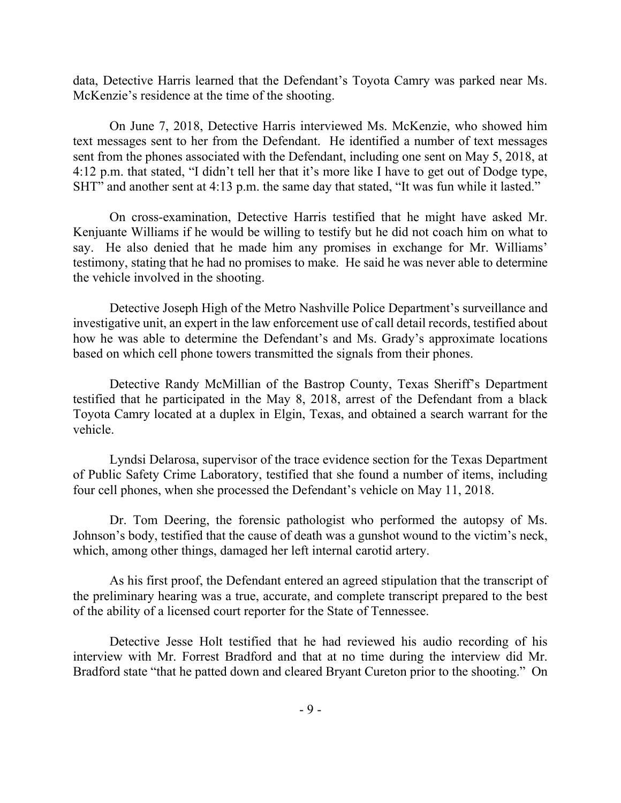data, Detective Harris learned that the Defendant's Toyota Camry was parked near Ms. McKenzie's residence at the time of the shooting.

On June 7, 2018, Detective Harris interviewed Ms. McKenzie, who showed him text messages sent to her from the Defendant. He identified a number of text messages sent from the phones associated with the Defendant, including one sent on May 5, 2018, at 4:12 p.m. that stated, "I didn't tell her that it's more like I have to get out of Dodge type, SHT" and another sent at 4:13 p.m. the same day that stated, "It was fun while it lasted."

On cross-examination, Detective Harris testified that he might have asked Mr. Kenjuante Williams if he would be willing to testify but he did not coach him on what to say. He also denied that he made him any promises in exchange for Mr. Williams' testimony, stating that he had no promises to make. He said he was never able to determine the vehicle involved in the shooting.

Detective Joseph High of the Metro Nashville Police Department's surveillance and investigative unit, an expert in the law enforcement use of call detail records, testified about how he was able to determine the Defendant's and Ms. Grady's approximate locations based on which cell phone towers transmitted the signals from their phones.

Detective Randy McMillian of the Bastrop County, Texas Sheriff's Department testified that he participated in the May 8, 2018, arrest of the Defendant from a black Toyota Camry located at a duplex in Elgin, Texas, and obtained a search warrant for the vehicle.

Lyndsi Delarosa, supervisor of the trace evidence section for the Texas Department of Public Safety Crime Laboratory, testified that she found a number of items, including four cell phones, when she processed the Defendant's vehicle on May 11, 2018.

Dr. Tom Deering, the forensic pathologist who performed the autopsy of Ms. Johnson's body, testified that the cause of death was a gunshot wound to the victim's neck, which, among other things, damaged her left internal carotid artery.

As his first proof, the Defendant entered an agreed stipulation that the transcript of the preliminary hearing was a true, accurate, and complete transcript prepared to the best of the ability of a licensed court reporter for the State of Tennessee.

Detective Jesse Holt testified that he had reviewed his audio recording of his interview with Mr. Forrest Bradford and that at no time during the interview did Mr. Bradford state "that he patted down and cleared Bryant Cureton prior to the shooting." On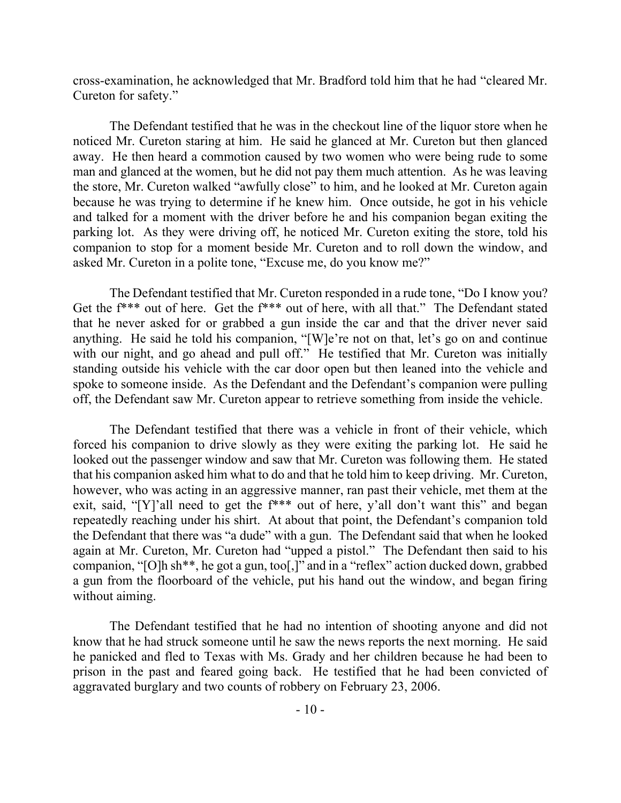cross-examination, he acknowledged that Mr. Bradford told him that he had "cleared Mr. Cureton for safety."

The Defendant testified that he was in the checkout line of the liquor store when he noticed Mr. Cureton staring at him. He said he glanced at Mr. Cureton but then glanced away. He then heard a commotion caused by two women who were being rude to some man and glanced at the women, but he did not pay them much attention. As he was leaving the store, Mr. Cureton walked "awfully close" to him, and he looked at Mr. Cureton again because he was trying to determine if he knew him. Once outside, he got in his vehicle and talked for a moment with the driver before he and his companion began exiting the parking lot. As they were driving off, he noticed Mr. Cureton exiting the store, told his companion to stop for a moment beside Mr. Cureton and to roll down the window, and asked Mr. Cureton in a polite tone, "Excuse me, do you know me?"

The Defendant testified that Mr. Cureton responded in a rude tone, "Do I know you? Get the f\*\*\* out of here. Get the f\*\*\* out of here, with all that." The Defendant stated that he never asked for or grabbed a gun inside the car and that the driver never said anything. He said he told his companion, "[W]e're not on that, let's go on and continue with our night, and go ahead and pull off." He testified that Mr. Cureton was initially standing outside his vehicle with the car door open but then leaned into the vehicle and spoke to someone inside. As the Defendant and the Defendant's companion were pulling off, the Defendant saw Mr. Cureton appear to retrieve something from inside the vehicle.

The Defendant testified that there was a vehicle in front of their vehicle, which forced his companion to drive slowly as they were exiting the parking lot. He said he looked out the passenger window and saw that Mr. Cureton was following them. He stated that his companion asked him what to do and that he told him to keep driving. Mr. Cureton, however, who was acting in an aggressive manner, ran past their vehicle, met them at the exit, said, "[Y]'all need to get the f\*\*\* out of here, y'all don't want this" and began repeatedly reaching under his shirt. At about that point, the Defendant's companion told the Defendant that there was "a dude" with a gun. The Defendant said that when he looked again at Mr. Cureton, Mr. Cureton had "upped a pistol." The Defendant then said to his companion, "[O]h sh\*\*, he got a gun, too[,]" and in a "reflex" action ducked down, grabbed a gun from the floorboard of the vehicle, put his hand out the window, and began firing without aiming.

The Defendant testified that he had no intention of shooting anyone and did not know that he had struck someone until he saw the news reports the next morning. He said he panicked and fled to Texas with Ms. Grady and her children because he had been to prison in the past and feared going back. He testified that he had been convicted of aggravated burglary and two counts of robbery on February 23, 2006.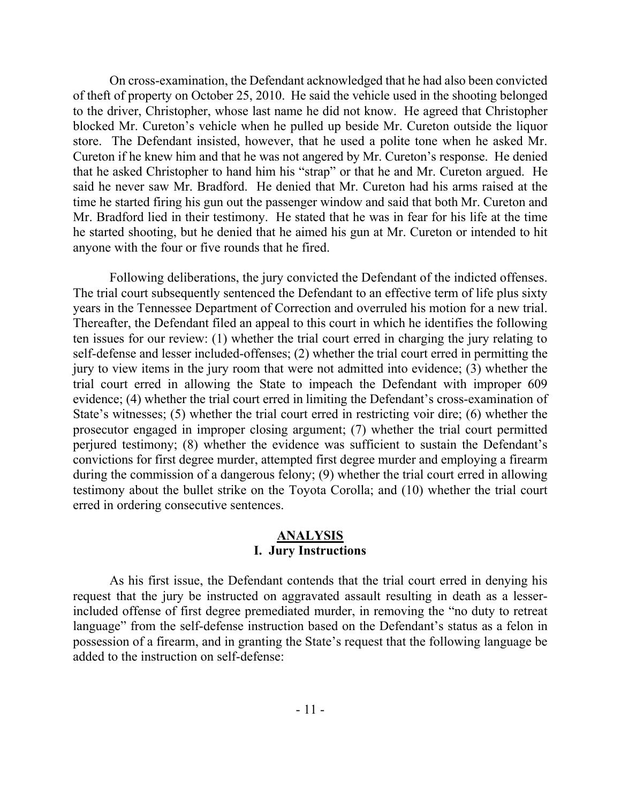On cross-examination, the Defendant acknowledged that he had also been convicted of theft of property on October 25, 2010. He said the vehicle used in the shooting belonged to the driver, Christopher, whose last name he did not know. He agreed that Christopher blocked Mr. Cureton's vehicle when he pulled up beside Mr. Cureton outside the liquor store. The Defendant insisted, however, that he used a polite tone when he asked Mr. Cureton if he knew him and that he was not angered by Mr. Cureton's response. He denied that he asked Christopher to hand him his "strap" or that he and Mr. Cureton argued. He said he never saw Mr. Bradford. He denied that Mr. Cureton had his arms raised at the time he started firing his gun out the passenger window and said that both Mr. Cureton and Mr. Bradford lied in their testimony. He stated that he was in fear for his life at the time he started shooting, but he denied that he aimed his gun at Mr. Cureton or intended to hit anyone with the four or five rounds that he fired.

Following deliberations, the jury convicted the Defendant of the indicted offenses. The trial court subsequently sentenced the Defendant to an effective term of life plus sixty years in the Tennessee Department of Correction and overruled his motion for a new trial. Thereafter, the Defendant filed an appeal to this court in which he identifies the following ten issues for our review: (1) whether the trial court erred in charging the jury relating to self-defense and lesser included-offenses; (2) whether the trial court erred in permitting the jury to view items in the jury room that were not admitted into evidence; (3) whether the trial court erred in allowing the State to impeach the Defendant with improper 609 evidence; (4) whether the trial court erred in limiting the Defendant's cross-examination of State's witnesses; (5) whether the trial court erred in restricting voir dire; (6) whether the prosecutor engaged in improper closing argument; (7) whether the trial court permitted perjured testimony; (8) whether the evidence was sufficient to sustain the Defendant's convictions for first degree murder, attempted first degree murder and employing a firearm during the commission of a dangerous felony; (9) whether the trial court erred in allowing testimony about the bullet strike on the Toyota Corolla; and (10) whether the trial court erred in ordering consecutive sentences.

## **ANALYSIS I. Jury Instructions**

As his first issue, the Defendant contends that the trial court erred in denying his request that the jury be instructed on aggravated assault resulting in death as a lesserincluded offense of first degree premediated murder, in removing the "no duty to retreat language" from the self-defense instruction based on the Defendant's status as a felon in possession of a firearm, and in granting the State's request that the following language be added to the instruction on self-defense: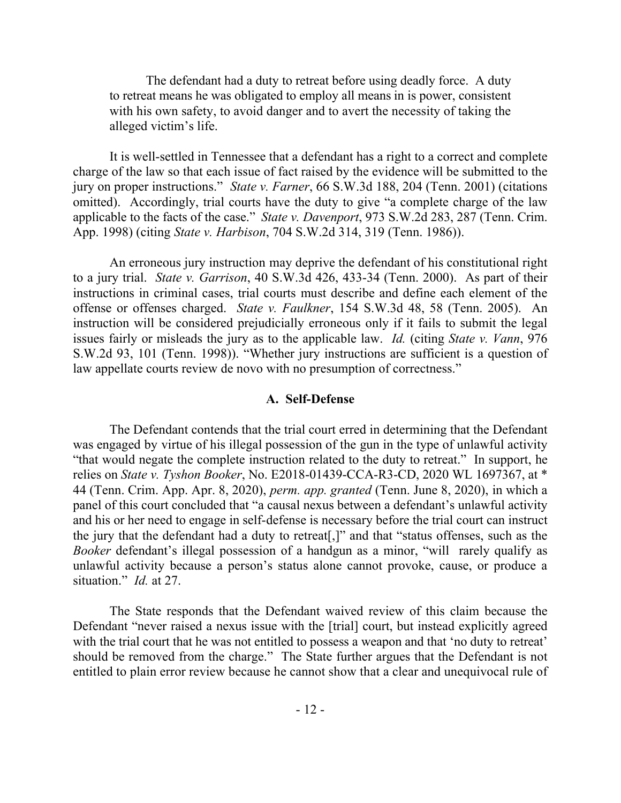The defendant had a duty to retreat before using deadly force. A duty to retreat means he was obligated to employ all means in is power, consistent with his own safety, to avoid danger and to avert the necessity of taking the alleged victim's life.

It is well-settled in Tennessee that a defendant has a right to a correct and complete charge of the law so that each issue of fact raised by the evidence will be submitted to the jury on proper instructions." *State v. Farner*, 66 S.W.3d 188, 204 (Tenn. 2001) (citations omitted). Accordingly, trial courts have the duty to give "a complete charge of the law applicable to the facts of the case." *State v. Davenport*, 973 S.W.2d 283, 287 (Tenn. Crim. App. 1998) (citing *State v. Harbison*, 704 S.W.2d 314, 319 (Tenn. 1986)).

An erroneous jury instruction may deprive the defendant of his constitutional right to a jury trial. *State v. Garrison*, 40 S.W.3d 426, 433-34 (Tenn. 2000). As part of their instructions in criminal cases, trial courts must describe and define each element of the offense or offenses charged. *State v. Faulkner*, 154 S.W.3d 48, 58 (Tenn. 2005). An instruction will be considered prejudicially erroneous only if it fails to submit the legal issues fairly or misleads the jury as to the applicable law. *Id.* (citing *State v. Vann*, 976 S.W.2d 93, 101 (Tenn. 1998)). "Whether jury instructions are sufficient is a question of law appellate courts review de novo with no presumption of correctness."

#### **A. Self-Defense**

The Defendant contends that the trial court erred in determining that the Defendant was engaged by virtue of his illegal possession of the gun in the type of unlawful activity "that would negate the complete instruction related to the duty to retreat." In support, he relies on *State v. Tyshon Booker*, No. E2018-01439-CCA-R3-CD, 2020 WL 1697367, at \* 44 (Tenn. Crim. App. Apr. 8, 2020), *perm. app. granted* (Tenn. June 8, 2020), in which a panel of this court concluded that "a causal nexus between a defendant's unlawful activity and his or her need to engage in self-defense is necessary before the trial court can instruct the jury that the defendant had a duty to retreat[,]" and that "status offenses, such as the *Booker* defendant's illegal possession of a handgun as a minor, "will rarely qualify as unlawful activity because a person's status alone cannot provoke, cause, or produce a situation." *Id.* at 27.

The State responds that the Defendant waived review of this claim because the Defendant "never raised a nexus issue with the [trial] court, but instead explicitly agreed with the trial court that he was not entitled to possess a weapon and that 'no duty to retreat' should be removed from the charge." The State further argues that the Defendant is not entitled to plain error review because he cannot show that a clear and unequivocal rule of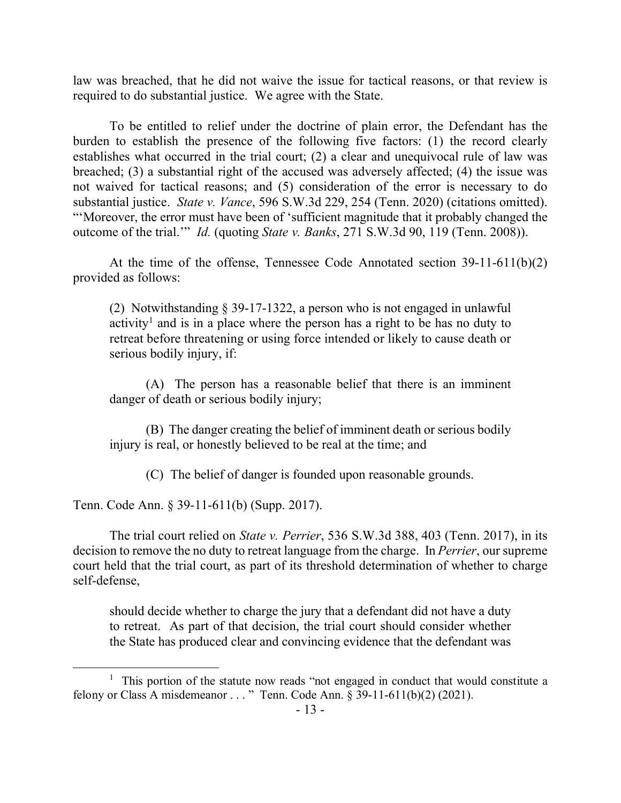law was breached, that he did not waive the issue for tactical reasons, or that review is required to do substantial justice. We agree with the State.

To be entitled to relief under the doctrine of plain error, the Defendant has the burden to establish the presence of the following five factors: (1) the record clearly establishes what occurred in the trial court; (2) a clear and unequivocal rule of law was breached; (3) a substantial right of the accused was adversely affected; (4) the issue was not waived for tactical reasons; and (5) consideration of the error is necessary to do substantial justice. *State v. Vance*, 596 S.W.3d 229, 254 (Tenn. 2020) (citations omitted). "'Moreover, the error must have been of 'sufficient magnitude that it probably changed the outcome of the trial.'" *Id.* (quoting *State v. Banks*, 271 S.W.3d 90, 119 (Tenn. 2008)).

At the time of the offense, Tennessee Code Annotated section 39-11-611(b)(2) provided as follows:

(2) Notwithstanding § 39-17-1322, a person who is not engaged in unlawful activity<sup>1</sup> and is in a place where the person has a right to be has no duty to retreat before threatening or using force intended or likely to cause death or serious bodily injury, if:

(A) The person has a reasonable belief that there is an imminent danger of death or serious bodily injury;

(B) The danger creating the belief of imminent death or serious bodily injury is real, or honestly believed to be real at the time; and

(C) The belief of danger is founded upon reasonable grounds.

Tenn. Code Ann. § 39-11-611(b) (Supp. 2017).

The trial court relied on *State v. Perrier*, 536 S.W.3d 388, 403 (Tenn. 2017), in its decision to remove the no duty to retreat language from the charge. In *Perrier*, our supreme court held that the trial court, as part of its threshold determination of whether to charge self-defense,

should decide whether to charge the jury that a defendant did not have a duty to retreat. As part of that decision, the trial court should consider whether the State has produced clear and convincing evidence that the defendant was

<sup>&</sup>lt;sup>1</sup> This portion of the statute now reads "not engaged in conduct that would constitute a felony or Class A misdemeanor . . . " Tenn. Code Ann. § 39-11-611(b)(2) (2021).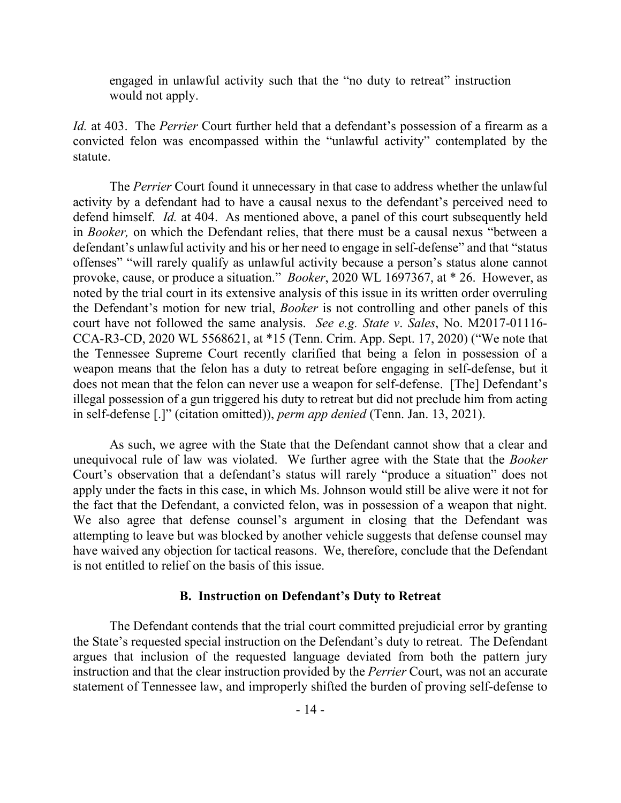engaged in unlawful activity such that the "no duty to retreat" instruction would not apply.

*Id.* at 403. The *Perrier* Court further held that a defendant's possession of a firearm as a convicted felon was encompassed within the "unlawful activity" contemplated by the statute.

The *Perrier* Court found it unnecessary in that case to address whether the unlawful activity by a defendant had to have a causal nexus to the defendant's perceived need to defend himself. *Id.* at 404. As mentioned above, a panel of this court subsequently held in *Booker,* on which the Defendant relies, that there must be a causal nexus "between a defendant's unlawful activity and his or her need to engage in self-defense" and that "status offenses" "will rarely qualify as unlawful activity because a person's status alone cannot provoke, cause, or produce a situation." *Booker*, 2020 WL 1697367, at \* 26. However, as noted by the trial court in its extensive analysis of this issue in its written order overruling the Defendant's motion for new trial, *Booker* is not controlling and other panels of this court have not followed the same analysis. *See e.g. State v*. *Sales*, No. M2017-01116- CCA-R3-CD, 2020 WL 5568621, at \*15 (Tenn. Crim. App. Sept. 17, 2020) ("We note that the Tennessee Supreme Court recently clarified that being a felon in possession of a weapon means that the felon has a duty to retreat before engaging in self-defense, but it does not mean that the felon can never use a weapon for self-defense. [The] Defendant's illegal possession of a gun triggered his duty to retreat but did not preclude him from acting in self-defense [.]" (citation omitted)), *perm app denied* (Tenn. Jan. 13, 2021).

As such, we agree with the State that the Defendant cannot show that a clear and unequivocal rule of law was violated. We further agree with the State that the *Booker* Court's observation that a defendant's status will rarely "produce a situation" does not apply under the facts in this case, in which Ms. Johnson would still be alive were it not for the fact that the Defendant, a convicted felon, was in possession of a weapon that night. We also agree that defense counsel's argument in closing that the Defendant was attempting to leave but was blocked by another vehicle suggests that defense counsel may have waived any objection for tactical reasons. We, therefore, conclude that the Defendant is not entitled to relief on the basis of this issue.

## **B. Instruction on Defendant's Duty to Retreat**

The Defendant contends that the trial court committed prejudicial error by granting the State's requested special instruction on the Defendant's duty to retreat. The Defendant argues that inclusion of the requested language deviated from both the pattern jury instruction and that the clear instruction provided by the *Perrier* Court, was not an accurate statement of Tennessee law, and improperly shifted the burden of proving self-defense to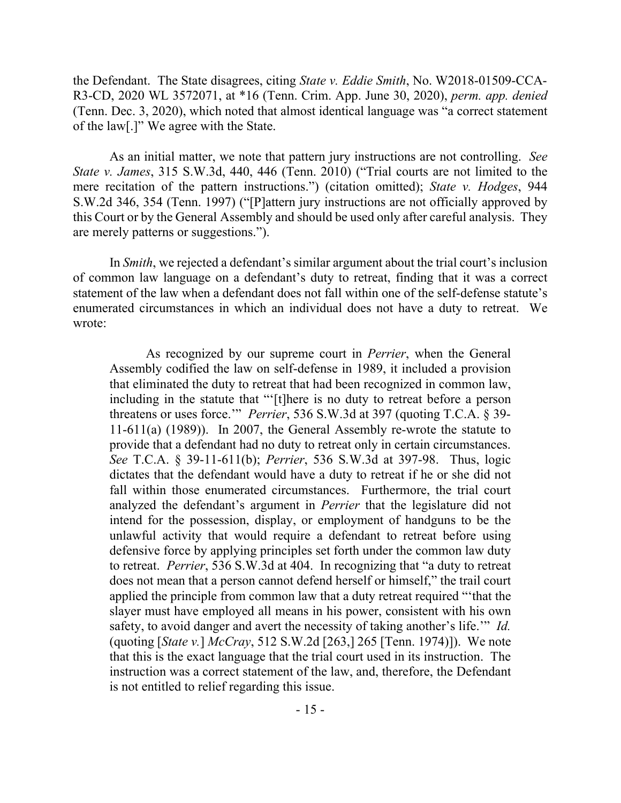the Defendant. The State disagrees, citing *State v. Eddie Smith*, No. W2018-01509-CCA-R3-CD, 2020 WL 3572071, at \*16 (Tenn. Crim. App. June 30, 2020), *perm. app. denied* (Tenn. Dec. 3, 2020), which noted that almost identical language was "a correct statement of the law[.]" We agree with the State.

As an initial matter, we note that pattern jury instructions are not controlling. *See State v. James*, 315 S.W.3d, 440, 446 (Tenn. 2010) ("Trial courts are not limited to the mere recitation of the pattern instructions.") (citation omitted); *State v. Hodges*, 944 S.W.2d 346, 354 (Tenn. 1997) ("[P]attern jury instructions are not officially approved by this Court or by the General Assembly and should be used only after careful analysis. They are merely patterns or suggestions.").

In *Smith*, we rejected a defendant's similar argument about the trial court's inclusion of common law language on a defendant's duty to retreat, finding that it was a correct statement of the law when a defendant does not fall within one of the self-defense statute's enumerated circumstances in which an individual does not have a duty to retreat. We wrote:

As recognized by our supreme court in *Perrier*, when the General Assembly codified the law on self-defense in 1989, it included a provision that eliminated the duty to retreat that had been recognized in common law, including in the statute that "'[t]here is no duty to retreat before a person threatens or uses force.'" *Perrier*, 536 S.W.3d at 397 (quoting T.C.A. § 39- 11-611(a) (1989)). In 2007, the General Assembly re-wrote the statute to provide that a defendant had no duty to retreat only in certain circumstances. *See* T.C.A. § 39-11-611(b); *Perrier*, 536 S.W.3d at 397-98. Thus, logic dictates that the defendant would have a duty to retreat if he or she did not fall within those enumerated circumstances. Furthermore, the trial court analyzed the defendant's argument in *Perrier* that the legislature did not intend for the possession, display, or employment of handguns to be the unlawful activity that would require a defendant to retreat before using defensive force by applying principles set forth under the common law duty to retreat. *Perrier*, 536 S.W.3d at 404. In recognizing that "a duty to retreat does not mean that a person cannot defend herself or himself," the trail court applied the principle from common law that a duty retreat required "'that the slayer must have employed all means in his power, consistent with his own safety, to avoid danger and avert the necessity of taking another's life.'" *Id.* (quoting [*State v.*] *McCray*, 512 S.W.2d [263,] 265 [Tenn. 1974)]). We note that this is the exact language that the trial court used in its instruction. The instruction was a correct statement of the law, and, therefore, the Defendant is not entitled to relief regarding this issue.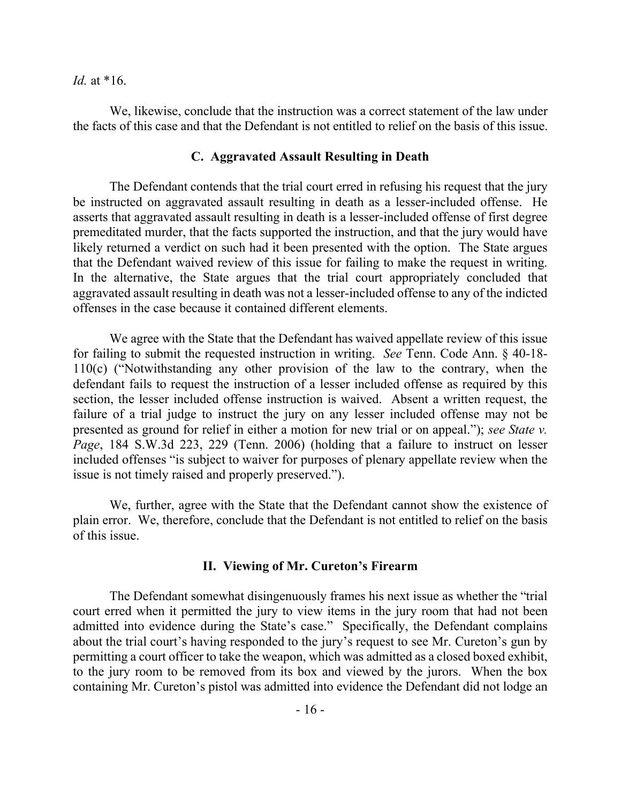*Id.* at \*16.

We, likewise, conclude that the instruction was a correct statement of the law under the facts of this case and that the Defendant is not entitled to relief on the basis of this issue.

## **C. Aggravated Assault Resulting in Death**

The Defendant contends that the trial court erred in refusing his request that the jury be instructed on aggravated assault resulting in death as a lesser-included offense. He asserts that aggravated assault resulting in death is a lesser-included offense of first degree premeditated murder, that the facts supported the instruction, and that the jury would have likely returned a verdict on such had it been presented with the option. The State argues that the Defendant waived review of this issue for failing to make the request in writing. In the alternative, the State argues that the trial court appropriately concluded that aggravated assault resulting in death was not a lesser-included offense to any of the indicted offenses in the case because it contained different elements.

We agree with the State that the Defendant has waived appellate review of this issue for failing to submit the requested instruction in writing. *See* Tenn. Code Ann. § 40-18- 110(c) ("Notwithstanding any other provision of the law to the contrary, when the defendant fails to request the instruction of a lesser included offense as required by this section, the lesser included offense instruction is waived. Absent a written request, the failure of a trial judge to instruct the jury on any lesser included offense may not be presented as ground for relief in either a motion for new trial or on appeal."); *see State v. Page*, 184 S.W.3d 223, 229 (Tenn. 2006) (holding that a failure to instruct on lesser included offenses "is subject to waiver for purposes of plenary appellate review when the issue is not timely raised and properly preserved.").

We, further, agree with the State that the Defendant cannot show the existence of plain error. We, therefore, conclude that the Defendant is not entitled to relief on the basis of this issue.

## **II. Viewing of Mr. Cureton's Firearm**

The Defendant somewhat disingenuously frames his next issue as whether the "trial court erred when it permitted the jury to view items in the jury room that had not been admitted into evidence during the State's case." Specifically, the Defendant complains about the trial court's having responded to the jury's request to see Mr. Cureton's gun by permitting a court officer to take the weapon, which was admitted as a closed boxed exhibit, to the jury room to be removed from its box and viewed by the jurors. When the box containing Mr. Cureton's pistol was admitted into evidence the Defendant did not lodge an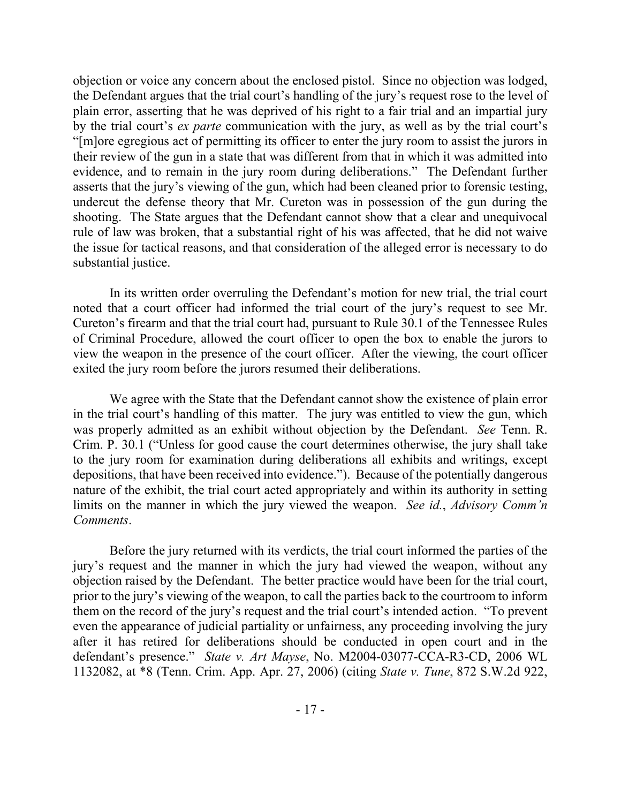objection or voice any concern about the enclosed pistol. Since no objection was lodged, the Defendant argues that the trial court's handling of the jury's request rose to the level of plain error, asserting that he was deprived of his right to a fair trial and an impartial jury by the trial court's *ex parte* communication with the jury, as well as by the trial court's "[m]ore egregious act of permitting its officer to enter the jury room to assist the jurors in their review of the gun in a state that was different from that in which it was admitted into evidence, and to remain in the jury room during deliberations." The Defendant further asserts that the jury's viewing of the gun, which had been cleaned prior to forensic testing, undercut the defense theory that Mr. Cureton was in possession of the gun during the shooting. The State argues that the Defendant cannot show that a clear and unequivocal rule of law was broken, that a substantial right of his was affected, that he did not waive the issue for tactical reasons, and that consideration of the alleged error is necessary to do substantial justice.

In its written order overruling the Defendant's motion for new trial, the trial court noted that a court officer had informed the trial court of the jury's request to see Mr. Cureton's firearm and that the trial court had, pursuant to Rule 30.1 of the Tennessee Rules of Criminal Procedure, allowed the court officer to open the box to enable the jurors to view the weapon in the presence of the court officer. After the viewing, the court officer exited the jury room before the jurors resumed their deliberations.

We agree with the State that the Defendant cannot show the existence of plain error in the trial court's handling of this matter. The jury was entitled to view the gun, which was properly admitted as an exhibit without objection by the Defendant. *See* Tenn. R. Crim. P. 30.1 ("Unless for good cause the court determines otherwise, the jury shall take to the jury room for examination during deliberations all exhibits and writings, except depositions, that have been received into evidence."). Because of the potentially dangerous nature of the exhibit, the trial court acted appropriately and within its authority in setting limits on the manner in which the jury viewed the weapon. *See id.*, *Advisory Comm'n Comments*.

Before the jury returned with its verdicts, the trial court informed the parties of the jury's request and the manner in which the jury had viewed the weapon, without any objection raised by the Defendant. The better practice would have been for the trial court, prior to the jury's viewing of the weapon, to call the parties back to the courtroom to inform them on the record of the jury's request and the trial court's intended action. "To prevent even the appearance of judicial partiality or unfairness, any proceeding involving the jury after it has retired for deliberations should be conducted in open court and in the defendant's presence." *State v. Art Mayse*, No. M2004-03077-CCA-R3-CD, 2006 WL 1132082, at \*8 (Tenn. Crim. App. Apr. 27, 2006) (citing *State v. Tune*, 872 S.W.2d 922,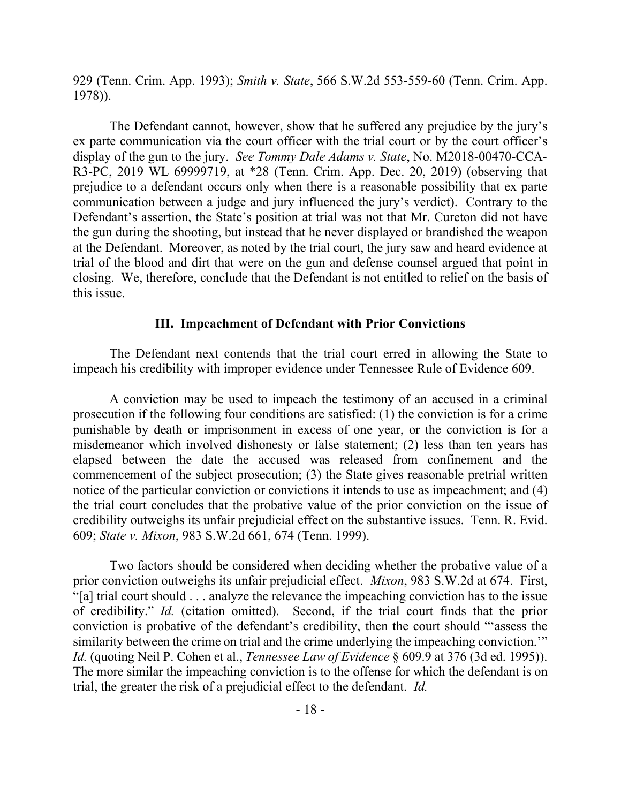929 (Tenn. Crim. App. 1993); *Smith v. State*, 566 S.W.2d 553-559-60 (Tenn. Crim. App. 1978)).

The Defendant cannot, however, show that he suffered any prejudice by the jury's ex parte communication via the court officer with the trial court or by the court officer's display of the gun to the jury. *See Tommy Dale Adams v. State*, No. M2018-00470-CCA-R3-PC, 2019 WL 69999719, at \*28 (Tenn. Crim. App. Dec. 20, 2019) (observing that prejudice to a defendant occurs only when there is a reasonable possibility that ex parte communication between a judge and jury influenced the jury's verdict). Contrary to the Defendant's assertion, the State's position at trial was not that Mr. Cureton did not have the gun during the shooting, but instead that he never displayed or brandished the weapon at the Defendant. Moreover, as noted by the trial court, the jury saw and heard evidence at trial of the blood and dirt that were on the gun and defense counsel argued that point in closing. We, therefore, conclude that the Defendant is not entitled to relief on the basis of this issue.

# **III. Impeachment of Defendant with Prior Convictions**

The Defendant next contends that the trial court erred in allowing the State to impeach his credibility with improper evidence under Tennessee Rule of Evidence 609.

A conviction may be used to impeach the testimony of an accused in a criminal prosecution if the following four conditions are satisfied: (1) the conviction is for a crime punishable by death or imprisonment in excess of one year, or the conviction is for a misdemeanor which involved dishonesty or false statement; (2) less than ten years has elapsed between the date the accused was released from confinement and the commencement of the subject prosecution; (3) the State gives reasonable pretrial written notice of the particular conviction or convictions it intends to use as impeachment; and (4) the trial court concludes that the probative value of the prior conviction on the issue of credibility outweighs its unfair prejudicial effect on the substantive issues. Tenn. R. Evid. 609; *State v. Mixon*, 983 S.W.2d 661, 674 (Tenn. 1999).

Two factors should be considered when deciding whether the probative value of a prior conviction outweighs its unfair prejudicial effect. *Mixon*, 983 S.W.2d at 674. First, "[a] trial court should . . . analyze the relevance the impeaching conviction has to the issue of credibility." *Id.* (citation omitted). Second, if the trial court finds that the prior conviction is probative of the defendant's credibility, then the court should "'assess the similarity between the crime on trial and the crime underlying the impeaching conviction.'" *Id.* (quoting Neil P. Cohen et al., *Tennessee Law of Evidence* § 609.9 at 376 (3d ed. 1995)). The more similar the impeaching conviction is to the offense for which the defendant is on trial, the greater the risk of a prejudicial effect to the defendant. *Id.*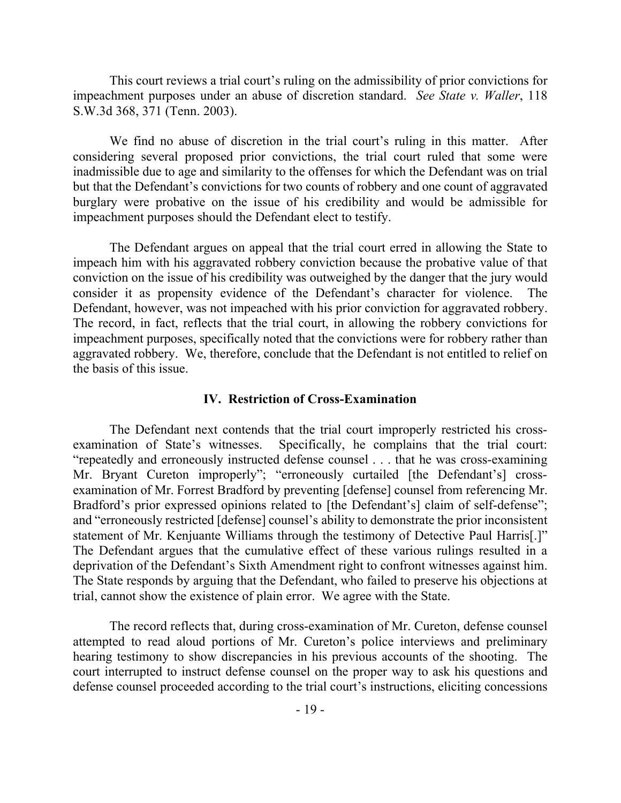This court reviews a trial court's ruling on the admissibility of prior convictions for impeachment purposes under an abuse of discretion standard. *See State v. Waller*, 118 S.W.3d 368, 371 (Tenn. 2003).

We find no abuse of discretion in the trial court's ruling in this matter. After considering several proposed prior convictions, the trial court ruled that some were inadmissible due to age and similarity to the offenses for which the Defendant was on trial but that the Defendant's convictions for two counts of robbery and one count of aggravated burglary were probative on the issue of his credibility and would be admissible for impeachment purposes should the Defendant elect to testify.

The Defendant argues on appeal that the trial court erred in allowing the State to impeach him with his aggravated robbery conviction because the probative value of that conviction on the issue of his credibility was outweighed by the danger that the jury would consider it as propensity evidence of the Defendant's character for violence. The Defendant, however, was not impeached with his prior conviction for aggravated robbery. The record, in fact, reflects that the trial court, in allowing the robbery convictions for impeachment purposes, specifically noted that the convictions were for robbery rather than aggravated robbery. We, therefore, conclude that the Defendant is not entitled to relief on the basis of this issue.

#### **IV. Restriction of Cross-Examination**

The Defendant next contends that the trial court improperly restricted his crossexamination of State's witnesses. Specifically, he complains that the trial court: "repeatedly and erroneously instructed defense counsel . . . that he was cross-examining Mr. Bryant Cureton improperly"; "erroneously curtailed [the Defendant's] crossexamination of Mr. Forrest Bradford by preventing [defense] counsel from referencing Mr. Bradford's prior expressed opinions related to [the Defendant's] claim of self-defense"; and "erroneously restricted [defense] counsel's ability to demonstrate the prior inconsistent statement of Mr. Kenjuante Williams through the testimony of Detective Paul Harris[.]" The Defendant argues that the cumulative effect of these various rulings resulted in a deprivation of the Defendant's Sixth Amendment right to confront witnesses against him. The State responds by arguing that the Defendant, who failed to preserve his objections at trial, cannot show the existence of plain error. We agree with the State.

The record reflects that, during cross-examination of Mr. Cureton, defense counsel attempted to read aloud portions of Mr. Cureton's police interviews and preliminary hearing testimony to show discrepancies in his previous accounts of the shooting. The court interrupted to instruct defense counsel on the proper way to ask his questions and defense counsel proceeded according to the trial court's instructions, eliciting concessions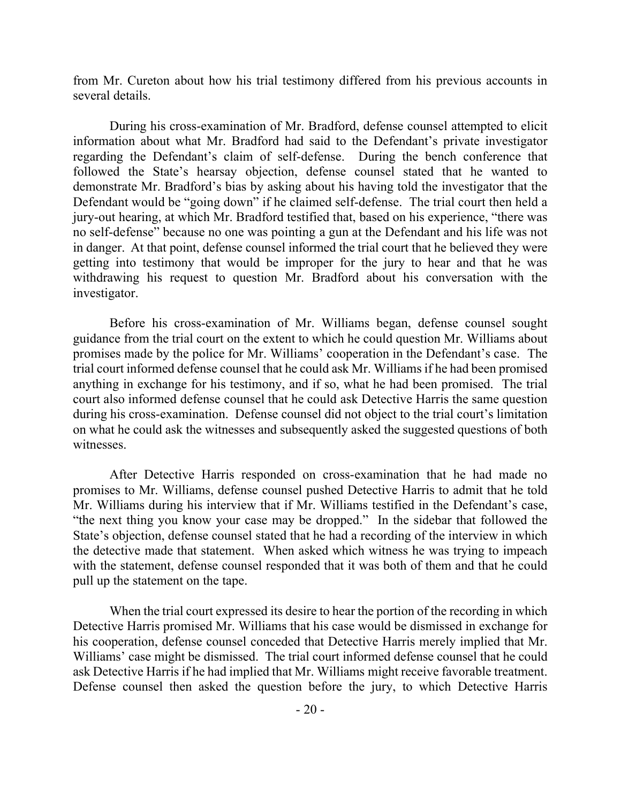from Mr. Cureton about how his trial testimony differed from his previous accounts in several details.

During his cross-examination of Mr. Bradford, defense counsel attempted to elicit information about what Mr. Bradford had said to the Defendant's private investigator regarding the Defendant's claim of self-defense. During the bench conference that followed the State's hearsay objection, defense counsel stated that he wanted to demonstrate Mr. Bradford's bias by asking about his having told the investigator that the Defendant would be "going down" if he claimed self-defense. The trial court then held a jury-out hearing, at which Mr. Bradford testified that, based on his experience, "there was no self-defense" because no one was pointing a gun at the Defendant and his life was not in danger. At that point, defense counsel informed the trial court that he believed they were getting into testimony that would be improper for the jury to hear and that he was withdrawing his request to question Mr. Bradford about his conversation with the investigator.

Before his cross-examination of Mr. Williams began, defense counsel sought guidance from the trial court on the extent to which he could question Mr. Williams about promises made by the police for Mr. Williams' cooperation in the Defendant's case. The trial court informed defense counsel that he could ask Mr. Williams if he had been promised anything in exchange for his testimony, and if so, what he had been promised. The trial court also informed defense counsel that he could ask Detective Harris the same question during his cross-examination. Defense counsel did not object to the trial court's limitation on what he could ask the witnesses and subsequently asked the suggested questions of both witnesses.

After Detective Harris responded on cross-examination that he had made no promises to Mr. Williams, defense counsel pushed Detective Harris to admit that he told Mr. Williams during his interview that if Mr. Williams testified in the Defendant's case, "the next thing you know your case may be dropped." In the sidebar that followed the State's objection, defense counsel stated that he had a recording of the interview in which the detective made that statement. When asked which witness he was trying to impeach with the statement, defense counsel responded that it was both of them and that he could pull up the statement on the tape.

When the trial court expressed its desire to hear the portion of the recording in which Detective Harris promised Mr. Williams that his case would be dismissed in exchange for his cooperation, defense counsel conceded that Detective Harris merely implied that Mr. Williams' case might be dismissed. The trial court informed defense counsel that he could ask Detective Harris if he had implied that Mr. Williams might receive favorable treatment. Defense counsel then asked the question before the jury, to which Detective Harris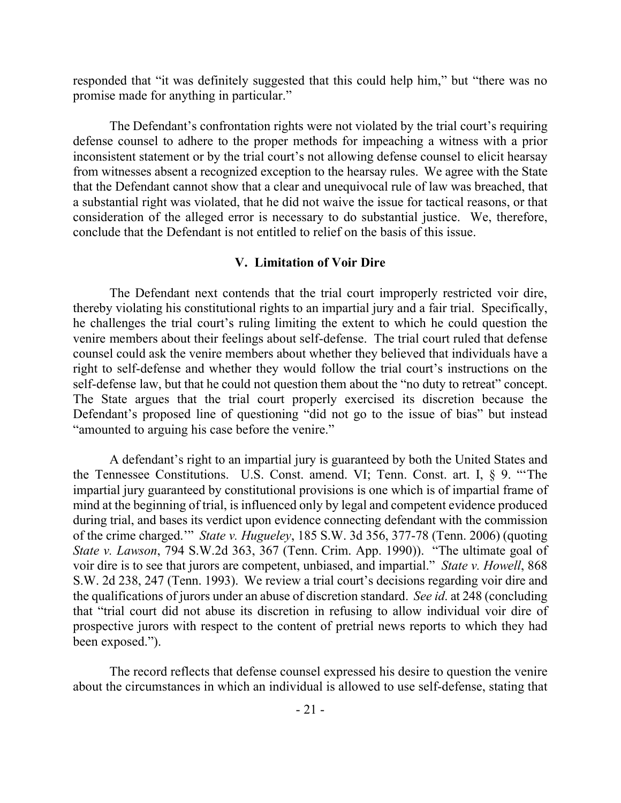responded that "it was definitely suggested that this could help him," but "there was no promise made for anything in particular."

The Defendant's confrontation rights were not violated by the trial court's requiring defense counsel to adhere to the proper methods for impeaching a witness with a prior inconsistent statement or by the trial court's not allowing defense counsel to elicit hearsay from witnesses absent a recognized exception to the hearsay rules. We agree with the State that the Defendant cannot show that a clear and unequivocal rule of law was breached, that a substantial right was violated, that he did not waive the issue for tactical reasons, or that consideration of the alleged error is necessary to do substantial justice. We, therefore, conclude that the Defendant is not entitled to relief on the basis of this issue.

# **V. Limitation of Voir Dire**

The Defendant next contends that the trial court improperly restricted voir dire, thereby violating his constitutional rights to an impartial jury and a fair trial. Specifically, he challenges the trial court's ruling limiting the extent to which he could question the venire members about their feelings about self-defense. The trial court ruled that defense counsel could ask the venire members about whether they believed that individuals have a right to self-defense and whether they would follow the trial court's instructions on the self-defense law, but that he could not question them about the "no duty to retreat" concept. The State argues that the trial court properly exercised its discretion because the Defendant's proposed line of questioning "did not go to the issue of bias" but instead "amounted to arguing his case before the venire."

A defendant's right to an impartial jury is guaranteed by both the United States and the Tennessee Constitutions. U.S. Const. amend. VI; Tenn. Const. art. I, § 9. "'The impartial jury guaranteed by constitutional provisions is one which is of impartial frame of mind at the beginning of trial, is influenced only by legal and competent evidence produced during trial, and bases its verdict upon evidence connecting defendant with the commission of the crime charged.'" *State v. Hugueley*, 185 S.W. 3d 356, 377-78 (Tenn. 2006) (quoting *State v. Lawson*, 794 S.W.2d 363, 367 (Tenn. Crim. App. 1990)). "The ultimate goal of voir dire is to see that jurors are competent, unbiased, and impartial." *State v. Howell*, 868 S.W. 2d 238, 247 (Tenn. 1993). We review a trial court's decisions regarding voir dire and the qualifications of jurors under an abuse of discretion standard. *See id*. at 248 (concluding that "trial court did not abuse its discretion in refusing to allow individual voir dire of prospective jurors with respect to the content of pretrial news reports to which they had been exposed.").

The record reflects that defense counsel expressed his desire to question the venire about the circumstances in which an individual is allowed to use self-defense, stating that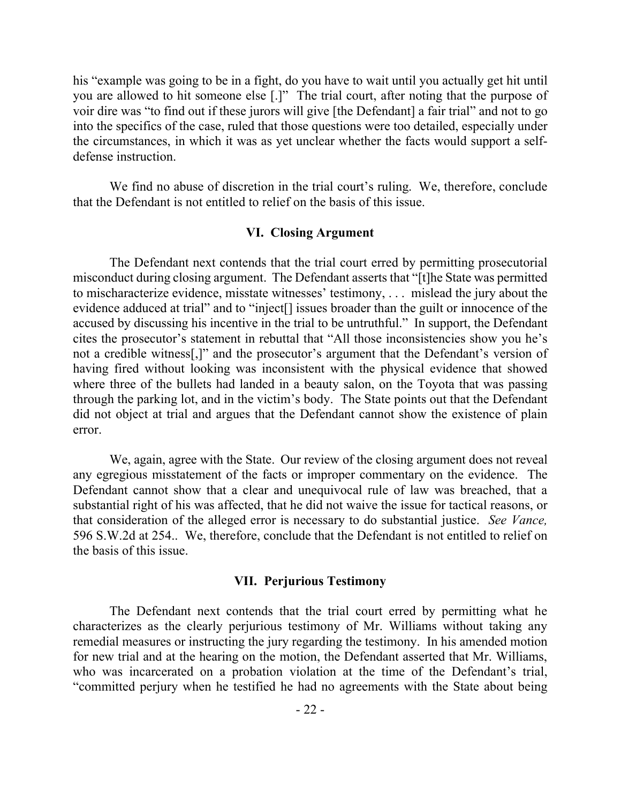his "example was going to be in a fight, do you have to wait until you actually get hit until you are allowed to hit someone else [.]" The trial court, after noting that the purpose of voir dire was "to find out if these jurors will give [the Defendant] a fair trial" and not to go into the specifics of the case, ruled that those questions were too detailed, especially under the circumstances, in which it was as yet unclear whether the facts would support a selfdefense instruction.

We find no abuse of discretion in the trial court's ruling. We, therefore, conclude that the Defendant is not entitled to relief on the basis of this issue.

# **VI. Closing Argument**

The Defendant next contends that the trial court erred by permitting prosecutorial misconduct during closing argument. The Defendant asserts that "[t]he State was permitted to mischaracterize evidence, misstate witnesses' testimony, . . . mislead the jury about the evidence adduced at trial" and to "inject[] issues broader than the guilt or innocence of the accused by discussing his incentive in the trial to be untruthful." In support, the Defendant cites the prosecutor's statement in rebuttal that "All those inconsistencies show you he's not a credible witness[,]" and the prosecutor's argument that the Defendant's version of having fired without looking was inconsistent with the physical evidence that showed where three of the bullets had landed in a beauty salon, on the Toyota that was passing through the parking lot, and in the victim's body. The State points out that the Defendant did not object at trial and argues that the Defendant cannot show the existence of plain error.

We, again, agree with the State. Our review of the closing argument does not reveal any egregious misstatement of the facts or improper commentary on the evidence. The Defendant cannot show that a clear and unequivocal rule of law was breached, that a substantial right of his was affected, that he did not waive the issue for tactical reasons, or that consideration of the alleged error is necessary to do substantial justice. *See Vance,*  596 S.W.2d at 254.. We, therefore, conclude that the Defendant is not entitled to relief on the basis of this issue.

## **VII. Perjurious Testimony**

The Defendant next contends that the trial court erred by permitting what he characterizes as the clearly perjurious testimony of Mr. Williams without taking any remedial measures or instructing the jury regarding the testimony. In his amended motion for new trial and at the hearing on the motion, the Defendant asserted that Mr. Williams, who was incarcerated on a probation violation at the time of the Defendant's trial, "committed perjury when he testified he had no agreements with the State about being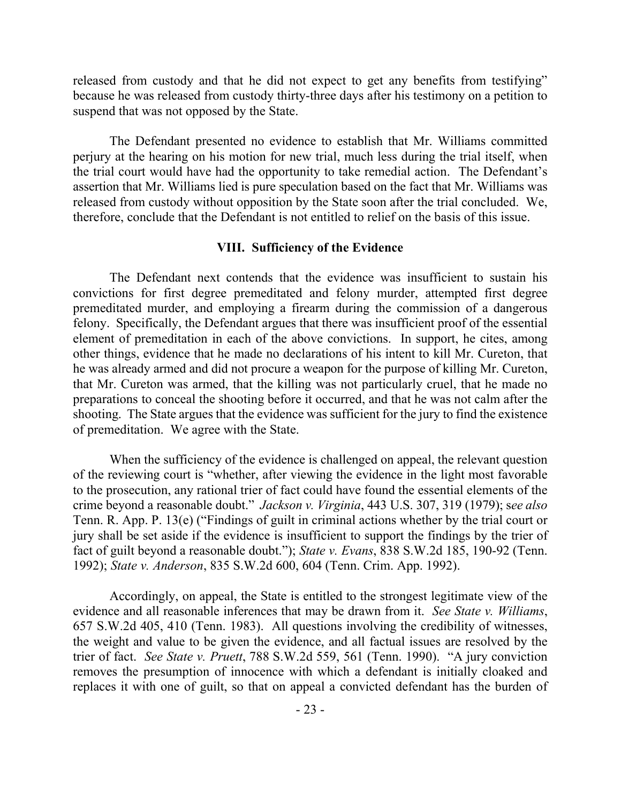released from custody and that he did not expect to get any benefits from testifying" because he was released from custody thirty-three days after his testimony on a petition to suspend that was not opposed by the State.

The Defendant presented no evidence to establish that Mr. Williams committed perjury at the hearing on his motion for new trial, much less during the trial itself, when the trial court would have had the opportunity to take remedial action. The Defendant's assertion that Mr. Williams lied is pure speculation based on the fact that Mr. Williams was released from custody without opposition by the State soon after the trial concluded. We, therefore, conclude that the Defendant is not entitled to relief on the basis of this issue.

# **VIII. Sufficiency of the Evidence**

The Defendant next contends that the evidence was insufficient to sustain his convictions for first degree premeditated and felony murder, attempted first degree premeditated murder, and employing a firearm during the commission of a dangerous felony. Specifically, the Defendant argues that there was insufficient proof of the essential element of premeditation in each of the above convictions. In support, he cites, among other things, evidence that he made no declarations of his intent to kill Mr. Cureton, that he was already armed and did not procure a weapon for the purpose of killing Mr. Cureton, that Mr. Cureton was armed, that the killing was not particularly cruel, that he made no preparations to conceal the shooting before it occurred, and that he was not calm after the shooting. The State argues that the evidence was sufficient for the jury to find the existence of premeditation. We agree with the State.

When the sufficiency of the evidence is challenged on appeal, the relevant question of the reviewing court is "whether, after viewing the evidence in the light most favorable to the prosecution, any rational trier of fact could have found the essential elements of the crime beyond a reasonable doubt." *Jackson v. Virginia*, 443 U.S. 307, 319 (1979); s*ee also* Tenn. R. App. P. 13(e) ("Findings of guilt in criminal actions whether by the trial court or jury shall be set aside if the evidence is insufficient to support the findings by the trier of fact of guilt beyond a reasonable doubt."); *State v. Evans*, 838 S.W.2d 185, 190-92 (Tenn. 1992); *State v. Anderson*, 835 S.W.2d 600, 604 (Tenn. Crim. App. 1992).

Accordingly, on appeal, the State is entitled to the strongest legitimate view of the evidence and all reasonable inferences that may be drawn from it. *See State v. Williams*, 657 S.W.2d 405, 410 (Tenn. 1983). All questions involving the credibility of witnesses, the weight and value to be given the evidence, and all factual issues are resolved by the trier of fact. *See State v. Pruett*, 788 S.W.2d 559, 561 (Tenn. 1990). "A jury conviction removes the presumption of innocence with which a defendant is initially cloaked and replaces it with one of guilt, so that on appeal a convicted defendant has the burden of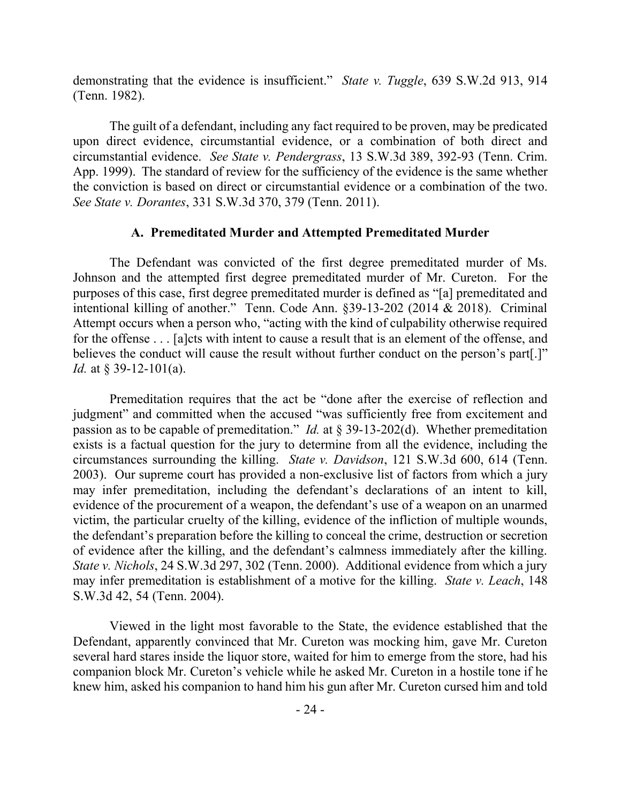demonstrating that the evidence is insufficient." *State v. Tuggle*, 639 S.W.2d 913, 914 (Tenn. 1982).

The guilt of a defendant, including any fact required to be proven, may be predicated upon direct evidence, circumstantial evidence, or a combination of both direct and circumstantial evidence. *See State v. Pendergrass*, 13 S.W.3d 389, 392-93 (Tenn. Crim. App. 1999). The standard of review for the sufficiency of the evidence is the same whether the conviction is based on direct or circumstantial evidence or a combination of the two. *See State v. Dorantes*, 331 S.W.3d 370, 379 (Tenn. 2011).

## **A. Premeditated Murder and Attempted Premeditated Murder**

The Defendant was convicted of the first degree premeditated murder of Ms. Johnson and the attempted first degree premeditated murder of Mr. Cureton. For the purposes of this case, first degree premeditated murder is defined as "[a] premeditated and intentional killing of another." Tenn. Code Ann. §39-13-202 (2014 & 2018). Criminal Attempt occurs when a person who, "acting with the kind of culpability otherwise required for the offense . . . [a]cts with intent to cause a result that is an element of the offense, and believes the conduct will cause the result without further conduct on the person's part[.]" *Id.* at § 39-12-101(a).

Premeditation requires that the act be "done after the exercise of reflection and judgment" and committed when the accused "was sufficiently free from excitement and passion as to be capable of premeditation." *Id.* at § 39-13-202(d). Whether premeditation exists is a factual question for the jury to determine from all the evidence, including the circumstances surrounding the killing. *State v. Davidson*, 121 S.W.3d 600, 614 (Tenn. 2003). Our supreme court has provided a non-exclusive list of factors from which a jury may infer premeditation, including the defendant's declarations of an intent to kill, evidence of the procurement of a weapon, the defendant's use of a weapon on an unarmed victim, the particular cruelty of the killing, evidence of the infliction of multiple wounds, the defendant's preparation before the killing to conceal the crime, destruction or secretion of evidence after the killing, and the defendant's calmness immediately after the killing. *State v. Nichols*, 24 S.W.3d 297, 302 (Tenn. 2000). Additional evidence from which a jury may infer premeditation is establishment of a motive for the killing. *State v. Leach*, 148 S.W.3d 42, 54 (Tenn. 2004).

Viewed in the light most favorable to the State, the evidence established that the Defendant, apparently convinced that Mr. Cureton was mocking him, gave Mr. Cureton several hard stares inside the liquor store, waited for him to emerge from the store, had his companion block Mr. Cureton's vehicle while he asked Mr. Cureton in a hostile tone if he knew him, asked his companion to hand him his gun after Mr. Cureton cursed him and told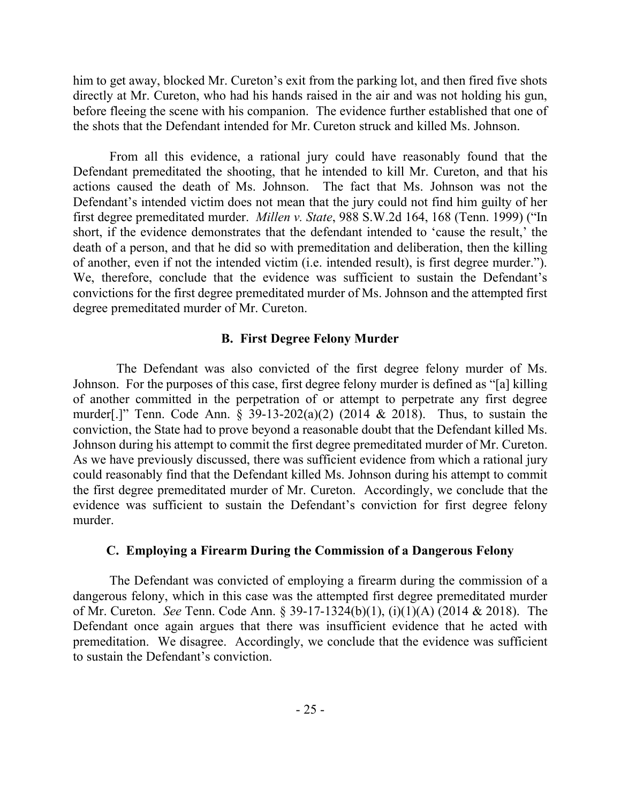him to get away, blocked Mr. Cureton's exit from the parking lot, and then fired five shots directly at Mr. Cureton, who had his hands raised in the air and was not holding his gun, before fleeing the scene with his companion. The evidence further established that one of the shots that the Defendant intended for Mr. Cureton struck and killed Ms. Johnson.

From all this evidence, a rational jury could have reasonably found that the Defendant premeditated the shooting, that he intended to kill Mr. Cureton, and that his actions caused the death of Ms. Johnson. The fact that Ms. Johnson was not the Defendant's intended victim does not mean that the jury could not find him guilty of her first degree premeditated murder. *Millen v. State*, 988 S.W.2d 164, 168 (Tenn. 1999) ("In short, if the evidence demonstrates that the defendant intended to 'cause the result,' the death of a person, and that he did so with premeditation and deliberation, then the killing of another, even if not the intended victim (i.e. intended result), is first degree murder."). We, therefore, conclude that the evidence was sufficient to sustain the Defendant's convictions for the first degree premeditated murder of Ms. Johnson and the attempted first degree premeditated murder of Mr. Cureton.

# **B. First Degree Felony Murder**

 The Defendant was also convicted of the first degree felony murder of Ms. Johnson. For the purposes of this case, first degree felony murder is defined as "[a] killing of another committed in the perpetration of or attempt to perpetrate any first degree murder[.]" Tenn. Code Ann. § 39-13-202(a)(2) (2014 & 2018). Thus, to sustain the conviction, the State had to prove beyond a reasonable doubt that the Defendant killed Ms. Johnson during his attempt to commit the first degree premeditated murder of Mr. Cureton. As we have previously discussed, there was sufficient evidence from which a rational jury could reasonably find that the Defendant killed Ms. Johnson during his attempt to commit the first degree premeditated murder of Mr. Cureton. Accordingly, we conclude that the evidence was sufficient to sustain the Defendant's conviction for first degree felony murder.

### **C. Employing a Firearm During the Commission of a Dangerous Felony**

The Defendant was convicted of employing a firearm during the commission of a dangerous felony, which in this case was the attempted first degree premeditated murder of Mr. Cureton. *See* Tenn. Code Ann. § 39-17-1324(b)(1), (i)(1)(A) (2014 & 2018). The Defendant once again argues that there was insufficient evidence that he acted with premeditation. We disagree. Accordingly, we conclude that the evidence was sufficient to sustain the Defendant's conviction.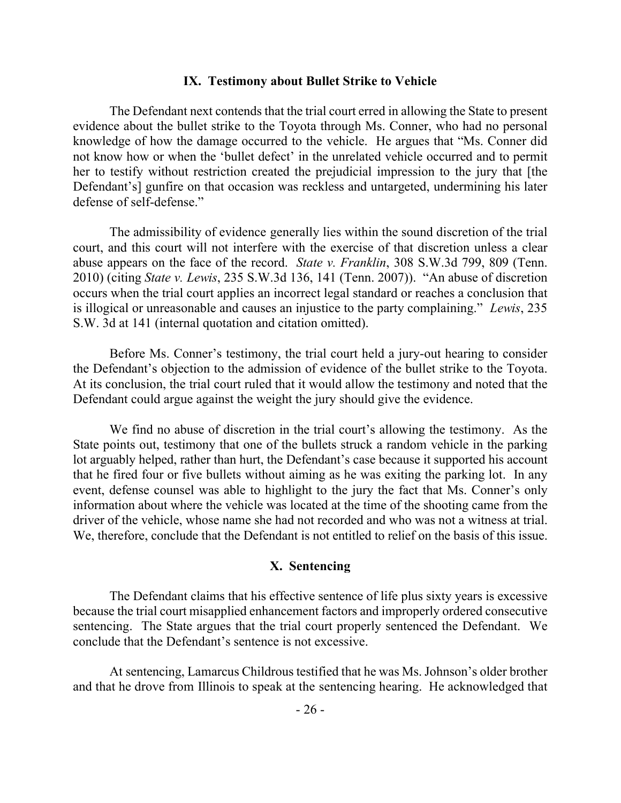#### **IX. Testimony about Bullet Strike to Vehicle**

The Defendant next contends that the trial court erred in allowing the State to present evidence about the bullet strike to the Toyota through Ms. Conner, who had no personal knowledge of how the damage occurred to the vehicle. He argues that "Ms. Conner did not know how or when the 'bullet defect' in the unrelated vehicle occurred and to permit her to testify without restriction created the prejudicial impression to the jury that [the Defendant's] gunfire on that occasion was reckless and untargeted, undermining his later defense of self-defense."

The admissibility of evidence generally lies within the sound discretion of the trial court, and this court will not interfere with the exercise of that discretion unless a clear abuse appears on the face of the record. *State v. Franklin*, 308 S.W.3d 799, 809 (Tenn. 2010) (citing *State v. Lewis*, 235 S.W.3d 136, 141 (Tenn. 2007)). "An abuse of discretion occurs when the trial court applies an incorrect legal standard or reaches a conclusion that is illogical or unreasonable and causes an injustice to the party complaining." *Lewis*, 235 S.W. 3d at 141 (internal quotation and citation omitted).

Before Ms. Conner's testimony, the trial court held a jury-out hearing to consider the Defendant's objection to the admission of evidence of the bullet strike to the Toyota. At its conclusion, the trial court ruled that it would allow the testimony and noted that the Defendant could argue against the weight the jury should give the evidence.

We find no abuse of discretion in the trial court's allowing the testimony. As the State points out, testimony that one of the bullets struck a random vehicle in the parking lot arguably helped, rather than hurt, the Defendant's case because it supported his account that he fired four or five bullets without aiming as he was exiting the parking lot. In any event, defense counsel was able to highlight to the jury the fact that Ms. Conner's only information about where the vehicle was located at the time of the shooting came from the driver of the vehicle, whose name she had not recorded and who was not a witness at trial. We, therefore, conclude that the Defendant is not entitled to relief on the basis of this issue.

## **X. Sentencing**

The Defendant claims that his effective sentence of life plus sixty years is excessive because the trial court misapplied enhancement factors and improperly ordered consecutive sentencing. The State argues that the trial court properly sentenced the Defendant. We conclude that the Defendant's sentence is not excessive.

At sentencing, Lamarcus Childrous testified that he was Ms. Johnson's older brother and that he drove from Illinois to speak at the sentencing hearing. He acknowledged that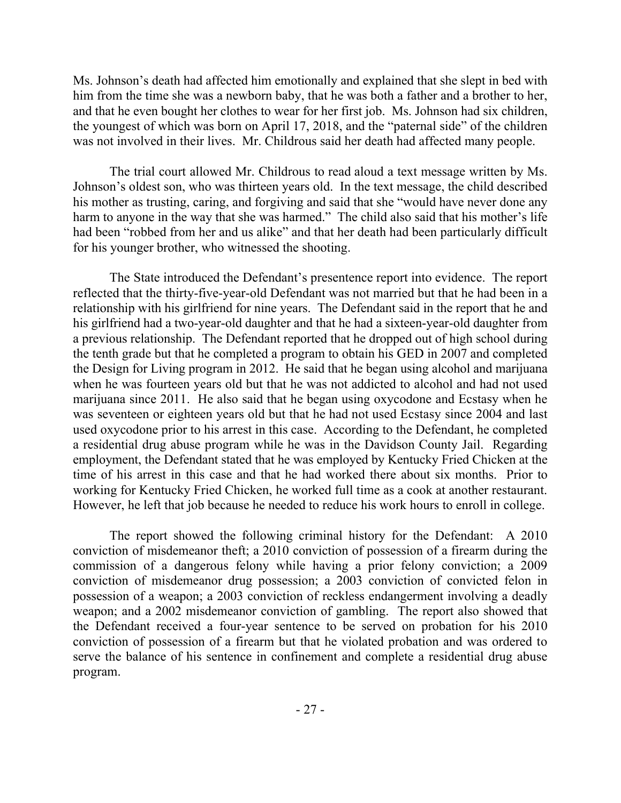Ms. Johnson's death had affected him emotionally and explained that she slept in bed with him from the time she was a newborn baby, that he was both a father and a brother to her, and that he even bought her clothes to wear for her first job. Ms. Johnson had six children, the youngest of which was born on April 17, 2018, and the "paternal side" of the children was not involved in their lives. Mr. Childrous said her death had affected many people.

The trial court allowed Mr. Childrous to read aloud a text message written by Ms. Johnson's oldest son, who was thirteen years old. In the text message, the child described his mother as trusting, caring, and forgiving and said that she "would have never done any harm to anyone in the way that she was harmed." The child also said that his mother's life had been "robbed from her and us alike" and that her death had been particularly difficult for his younger brother, who witnessed the shooting.

The State introduced the Defendant's presentence report into evidence. The report reflected that the thirty-five-year-old Defendant was not married but that he had been in a relationship with his girlfriend for nine years. The Defendant said in the report that he and his girlfriend had a two-year-old daughter and that he had a sixteen-year-old daughter from a previous relationship. The Defendant reported that he dropped out of high school during the tenth grade but that he completed a program to obtain his GED in 2007 and completed the Design for Living program in 2012. He said that he began using alcohol and marijuana when he was fourteen years old but that he was not addicted to alcohol and had not used marijuana since 2011. He also said that he began using oxycodone and Ecstasy when he was seventeen or eighteen years old but that he had not used Ecstasy since 2004 and last used oxycodone prior to his arrest in this case. According to the Defendant, he completed a residential drug abuse program while he was in the Davidson County Jail. Regarding employment, the Defendant stated that he was employed by Kentucky Fried Chicken at the time of his arrest in this case and that he had worked there about six months. Prior to working for Kentucky Fried Chicken, he worked full time as a cook at another restaurant. However, he left that job because he needed to reduce his work hours to enroll in college.

The report showed the following criminal history for the Defendant: A 2010 conviction of misdemeanor theft; a 2010 conviction of possession of a firearm during the commission of a dangerous felony while having a prior felony conviction; a 2009 conviction of misdemeanor drug possession; a 2003 conviction of convicted felon in possession of a weapon; a 2003 conviction of reckless endangerment involving a deadly weapon; and a 2002 misdemeanor conviction of gambling. The report also showed that the Defendant received a four-year sentence to be served on probation for his 2010 conviction of possession of a firearm but that he violated probation and was ordered to serve the balance of his sentence in confinement and complete a residential drug abuse program.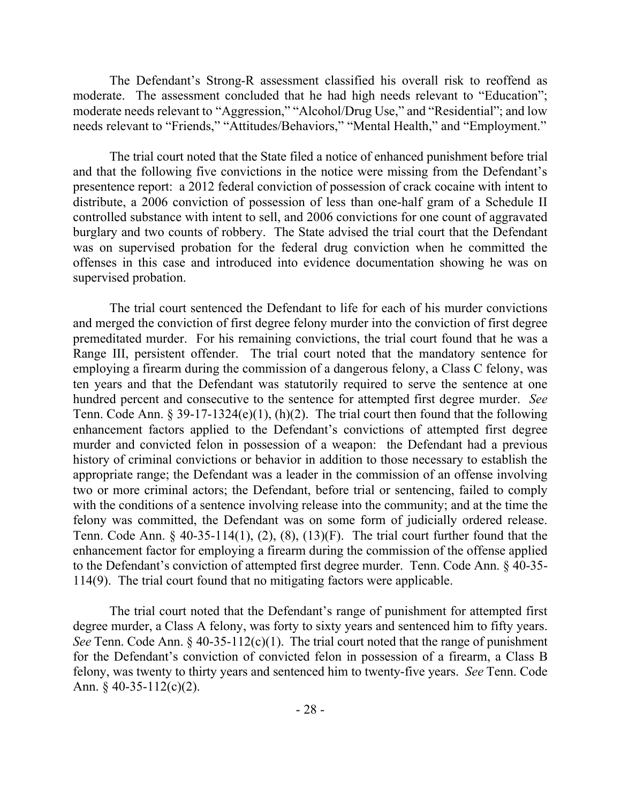The Defendant's Strong-R assessment classified his overall risk to reoffend as moderate. The assessment concluded that he had high needs relevant to "Education"; moderate needs relevant to "Aggression," "Alcohol/Drug Use," and "Residential"; and low needs relevant to "Friends," "Attitudes/Behaviors," "Mental Health," and "Employment."

The trial court noted that the State filed a notice of enhanced punishment before trial and that the following five convictions in the notice were missing from the Defendant's presentence report: a 2012 federal conviction of possession of crack cocaine with intent to distribute, a 2006 conviction of possession of less than one-half gram of a Schedule II controlled substance with intent to sell, and 2006 convictions for one count of aggravated burglary and two counts of robbery. The State advised the trial court that the Defendant was on supervised probation for the federal drug conviction when he committed the offenses in this case and introduced into evidence documentation showing he was on supervised probation.

The trial court sentenced the Defendant to life for each of his murder convictions and merged the conviction of first degree felony murder into the conviction of first degree premeditated murder. For his remaining convictions, the trial court found that he was a Range III, persistent offender. The trial court noted that the mandatory sentence for employing a firearm during the commission of a dangerous felony, a Class C felony, was ten years and that the Defendant was statutorily required to serve the sentence at one hundred percent and consecutive to the sentence for attempted first degree murder. *See* Tenn. Code Ann.  $\S 39-17-1324(e)(1)$ , (h)(2). The trial court then found that the following enhancement factors applied to the Defendant's convictions of attempted first degree murder and convicted felon in possession of a weapon: the Defendant had a previous history of criminal convictions or behavior in addition to those necessary to establish the appropriate range; the Defendant was a leader in the commission of an offense involving two or more criminal actors; the Defendant, before trial or sentencing, failed to comply with the conditions of a sentence involving release into the community; and at the time the felony was committed, the Defendant was on some form of judicially ordered release. Tenn. Code Ann.  $\S$  40-35-114(1), (2), (8), (13)(F). The trial court further found that the enhancement factor for employing a firearm during the commission of the offense applied to the Defendant's conviction of attempted first degree murder. Tenn. Code Ann. § 40-35- 114(9). The trial court found that no mitigating factors were applicable.

The trial court noted that the Defendant's range of punishment for attempted first degree murder, a Class A felony, was forty to sixty years and sentenced him to fifty years. *See* Tenn. Code Ann. § 40-35-112(c)(1). The trial court noted that the range of punishment for the Defendant's conviction of convicted felon in possession of a firearm, a Class B felony, was twenty to thirty years and sentenced him to twenty-five years. *See* Tenn. Code Ann.  $\frac{6}{9}$  40-35-112(c)(2).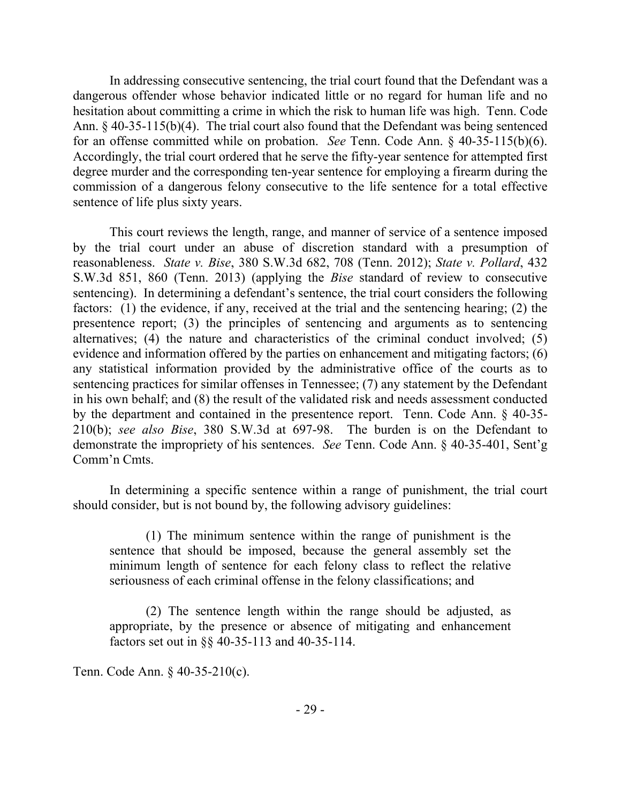In addressing consecutive sentencing, the trial court found that the Defendant was a dangerous offender whose behavior indicated little or no regard for human life and no hesitation about committing a crime in which the risk to human life was high. Tenn. Code Ann. § 40-35-115(b)(4). The trial court also found that the Defendant was being sentenced for an offense committed while on probation. *See* Tenn. Code Ann. § 40-35-115(b)(6). Accordingly, the trial court ordered that he serve the fifty-year sentence for attempted first degree murder and the corresponding ten-year sentence for employing a firearm during the commission of a dangerous felony consecutive to the life sentence for a total effective sentence of life plus sixty years.

This court reviews the length, range, and manner of service of a sentence imposed by the trial court under an abuse of discretion standard with a presumption of reasonableness. *State v. Bise*, 380 S.W.3d 682, 708 (Tenn. 2012); *State v. Pollard*, 432 S.W.3d 851, 860 (Tenn. 2013) (applying the *Bise* standard of review to consecutive sentencing). In determining a defendant's sentence, the trial court considers the following factors: (1) the evidence, if any, received at the trial and the sentencing hearing; (2) the presentence report; (3) the principles of sentencing and arguments as to sentencing alternatives; (4) the nature and characteristics of the criminal conduct involved; (5) evidence and information offered by the parties on enhancement and mitigating factors; (6) any statistical information provided by the administrative office of the courts as to sentencing practices for similar offenses in Tennessee; (7) any statement by the Defendant in his own behalf; and (8) the result of the validated risk and needs assessment conducted by the department and contained in the presentence report. Tenn. Code Ann. § 40-35- 210(b); *see also Bise*, 380 S.W.3d at 697-98. The burden is on the Defendant to demonstrate the impropriety of his sentences. *See* Tenn. Code Ann. § 40-35-401, Sent'g Comm'n Cmts.

In determining a specific sentence within a range of punishment, the trial court should consider, but is not bound by, the following advisory guidelines:

(1) The minimum sentence within the range of punishment is the sentence that should be imposed, because the general assembly set the minimum length of sentence for each felony class to reflect the relative seriousness of each criminal offense in the felony classifications; and

(2) The sentence length within the range should be adjusted, as appropriate, by the presence or absence of mitigating and enhancement factors set out in §§ 40-35-113 and 40-35-114.

Tenn. Code Ann. § 40-35-210(c).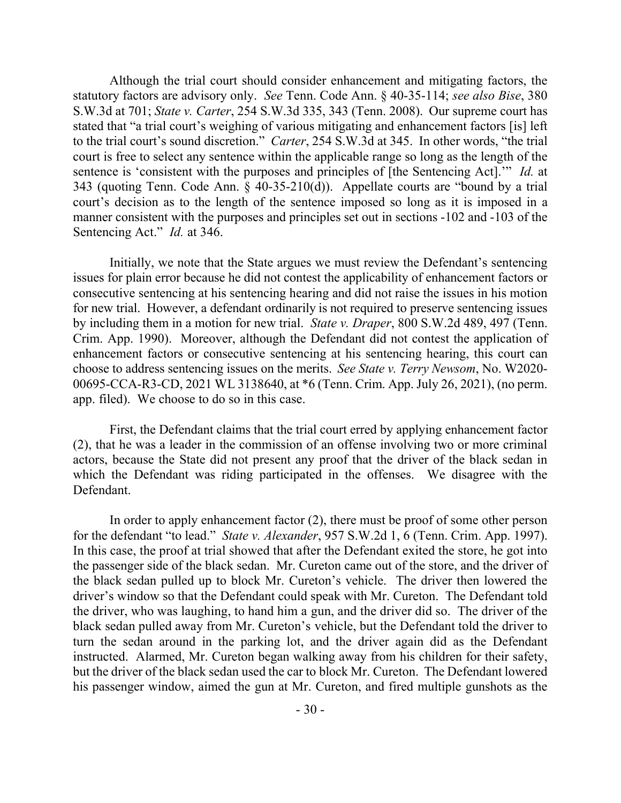Although the trial court should consider enhancement and mitigating factors, the statutory factors are advisory only. *See* Tenn. Code Ann. § 40-35-114; *see also Bise*, 380 S.W.3d at 701; *State v. Carter*, 254 S.W.3d 335, 343 (Tenn. 2008). Our supreme court has stated that "a trial court's weighing of various mitigating and enhancement factors [is] left to the trial court's sound discretion." *Carter*, 254 S.W.3d at 345. In other words, "the trial court is free to select any sentence within the applicable range so long as the length of the sentence is 'consistent with the purposes and principles of [the Sentencing Act].'" *Id.* at 343 (quoting Tenn. Code Ann. § 40-35-210(d)). Appellate courts are "bound by a trial court's decision as to the length of the sentence imposed so long as it is imposed in a manner consistent with the purposes and principles set out in sections -102 and -103 of the Sentencing Act." *Id.* at 346.

Initially, we note that the State argues we must review the Defendant's sentencing issues for plain error because he did not contest the applicability of enhancement factors or consecutive sentencing at his sentencing hearing and did not raise the issues in his motion for new trial. However, a defendant ordinarily is not required to preserve sentencing issues by including them in a motion for new trial. *State v. Draper*, 800 S.W.2d 489, 497 (Tenn. Crim. App. 1990). Moreover, although the Defendant did not contest the application of enhancement factors or consecutive sentencing at his sentencing hearing, this court can choose to address sentencing issues on the merits. *See State v. Terry Newsom*, No. W2020- 00695-CCA-R3-CD, 2021 WL 3138640, at \*6 (Tenn. Crim. App. July 26, 2021), (no perm. app. filed). We choose to do so in this case.

First, the Defendant claims that the trial court erred by applying enhancement factor (2), that he was a leader in the commission of an offense involving two or more criminal actors, because the State did not present any proof that the driver of the black sedan in which the Defendant was riding participated in the offenses. We disagree with the Defendant.

In order to apply enhancement factor (2), there must be proof of some other person for the defendant "to lead." *State v. Alexander*, 957 S.W.2d 1, 6 (Tenn. Crim. App. 1997). In this case, the proof at trial showed that after the Defendant exited the store, he got into the passenger side of the black sedan. Mr. Cureton came out of the store, and the driver of the black sedan pulled up to block Mr. Cureton's vehicle. The driver then lowered the driver's window so that the Defendant could speak with Mr. Cureton. The Defendant told the driver, who was laughing, to hand him a gun, and the driver did so. The driver of the black sedan pulled away from Mr. Cureton's vehicle, but the Defendant told the driver to turn the sedan around in the parking lot, and the driver again did as the Defendant instructed. Alarmed, Mr. Cureton began walking away from his children for their safety, but the driver of the black sedan used the car to block Mr. Cureton. The Defendant lowered his passenger window, aimed the gun at Mr. Cureton, and fired multiple gunshots as the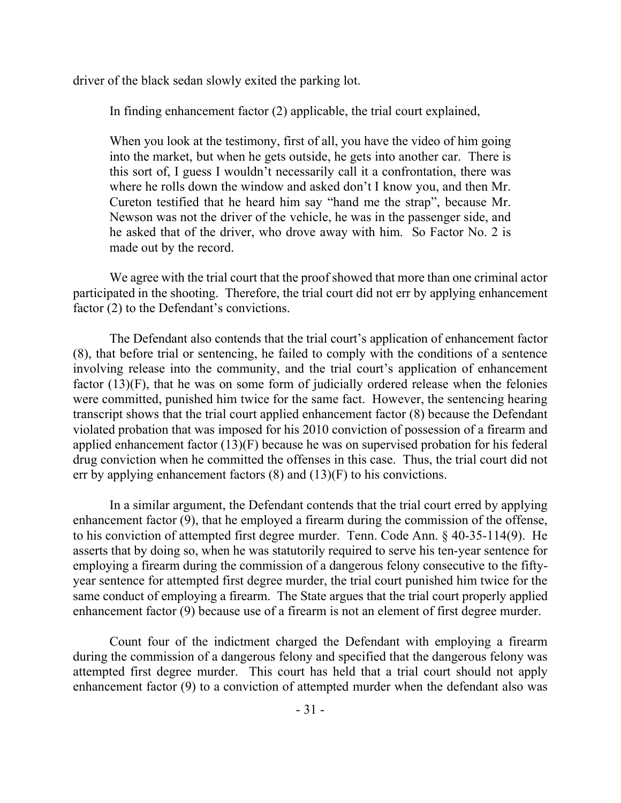driver of the black sedan slowly exited the parking lot.

In finding enhancement factor (2) applicable, the trial court explained,

When you look at the testimony, first of all, you have the video of him going into the market, but when he gets outside, he gets into another car. There is this sort of, I guess I wouldn't necessarily call it a confrontation, there was where he rolls down the window and asked don't I know you, and then Mr. Cureton testified that he heard him say "hand me the strap", because Mr. Newson was not the driver of the vehicle, he was in the passenger side, and he asked that of the driver, who drove away with him. So Factor No. 2 is made out by the record.

We agree with the trial court that the proof showed that more than one criminal actor participated in the shooting. Therefore, the trial court did not err by applying enhancement factor (2) to the Defendant's convictions.

The Defendant also contends that the trial court's application of enhancement factor (8), that before trial or sentencing, he failed to comply with the conditions of a sentence involving release into the community, and the trial court's application of enhancement factor (13)(F), that he was on some form of judicially ordered release when the felonies were committed, punished him twice for the same fact. However, the sentencing hearing transcript shows that the trial court applied enhancement factor (8) because the Defendant violated probation that was imposed for his 2010 conviction of possession of a firearm and applied enhancement factor (13)(F) because he was on supervised probation for his federal drug conviction when he committed the offenses in this case. Thus, the trial court did not err by applying enhancement factors  $(8)$  and  $(13)(F)$  to his convictions.

In a similar argument, the Defendant contends that the trial court erred by applying enhancement factor (9), that he employed a firearm during the commission of the offense, to his conviction of attempted first degree murder. Tenn. Code Ann. § 40-35-114(9). He asserts that by doing so, when he was statutorily required to serve his ten-year sentence for employing a firearm during the commission of a dangerous felony consecutive to the fiftyyear sentence for attempted first degree murder, the trial court punished him twice for the same conduct of employing a firearm. The State argues that the trial court properly applied enhancement factor (9) because use of a firearm is not an element of first degree murder.

Count four of the indictment charged the Defendant with employing a firearm during the commission of a dangerous felony and specified that the dangerous felony was attempted first degree murder. This court has held that a trial court should not apply enhancement factor (9) to a conviction of attempted murder when the defendant also was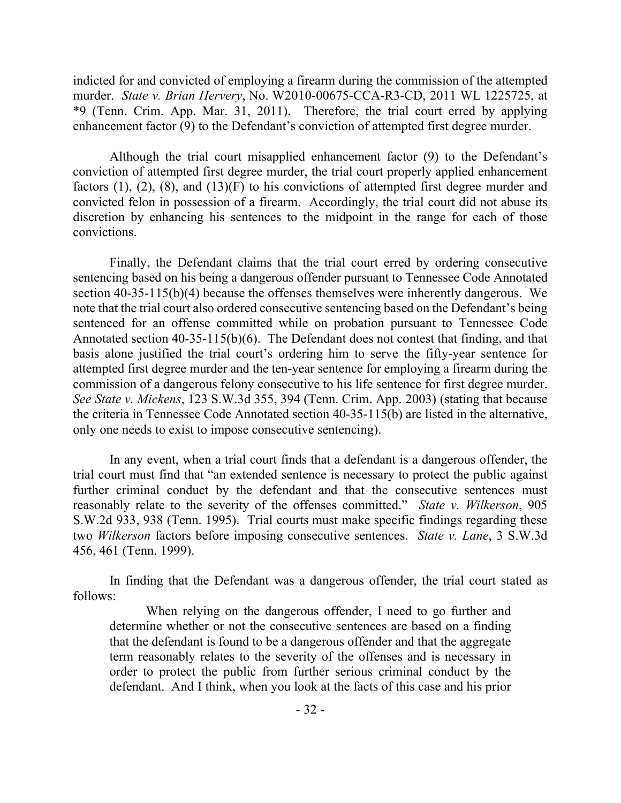indicted for and convicted of employing a firearm during the commission of the attempted murder. *State v. Brian Hervery*, No. W2010-00675-CCA-R3-CD, 2011 WL 1225725, at \*9 (Tenn. Crim. App. Mar. 31, 2011). Therefore, the trial court erred by applying enhancement factor (9) to the Defendant's conviction of attempted first degree murder.

Although the trial court misapplied enhancement factor (9) to the Defendant's conviction of attempted first degree murder, the trial court properly applied enhancement factors  $(1)$ ,  $(2)$ ,  $(8)$ , and  $(13)(F)$  to his convictions of attempted first degree murder and convicted felon in possession of a firearm. Accordingly, the trial court did not abuse its discretion by enhancing his sentences to the midpoint in the range for each of those convictions.

Finally, the Defendant claims that the trial court erred by ordering consecutive sentencing based on his being a dangerous offender pursuant to Tennessee Code Annotated section 40-35-115(b)(4) because the offenses themselves were inherently dangerous. We note that the trial court also ordered consecutive sentencing based on the Defendant's being sentenced for an offense committed while on probation pursuant to Tennessee Code Annotated section 40-35-115(b)(6). The Defendant does not contest that finding, and that basis alone justified the trial court's ordering him to serve the fifty-year sentence for attempted first degree murder and the ten-year sentence for employing a firearm during the commission of a dangerous felony consecutive to his life sentence for first degree murder. *See State v. Mickens*, 123 S.W.3d 355, 394 (Tenn. Crim. App. 2003) (stating that because the criteria in Tennessee Code Annotated section 40-35-115(b) are listed in the alternative, only one needs to exist to impose consecutive sentencing).

In any event, when a trial court finds that a defendant is a dangerous offender, the trial court must find that "an extended sentence is necessary to protect the public against further criminal conduct by the defendant and that the consecutive sentences must reasonably relate to the severity of the offenses committed." *State v. Wilkerson*, 905 S.W.2d 933, 938 (Tenn. 1995). Trial courts must make specific findings regarding these two *Wilkerson* factors before imposing consecutive sentences. *State v. Lane*, 3 S.W.3d 456, 461 (Tenn. 1999).

In finding that the Defendant was a dangerous offender, the trial court stated as follows:

When relying on the dangerous offender, I need to go further and determine whether or not the consecutive sentences are based on a finding that the defendant is found to be a dangerous offender and that the aggregate term reasonably relates to the severity of the offenses and is necessary in order to protect the public from further serious criminal conduct by the defendant. And I think, when you look at the facts of this case and his prior